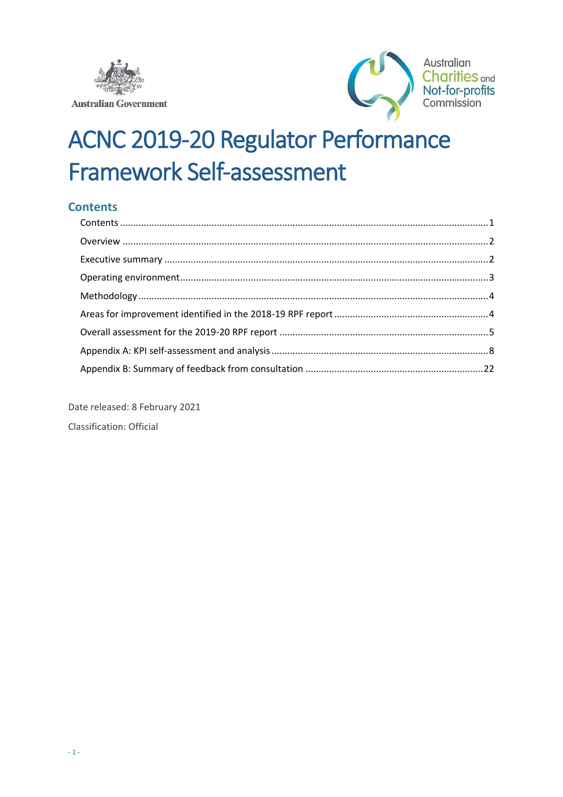



# **ACNC 2019-20 Regulator Performance Framework Self-assessment**

## <span id="page-0-0"></span>**Contents**

Date released: 8 February 2021 **Classification: Official**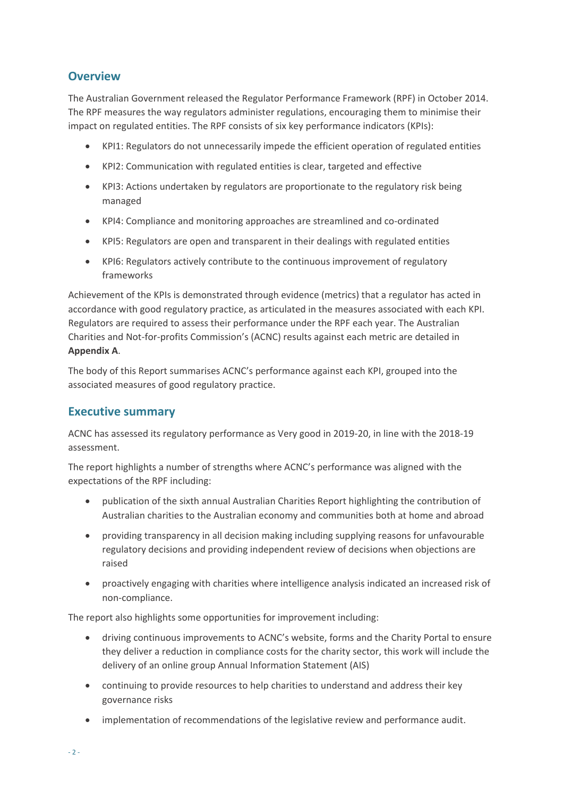## <span id="page-1-0"></span>**Overview**

The Australian Government released the Regulator Performance Framework (RPF) in October 2014. The RPF measures the way regulators administer regulations, encouraging them to minimise their impact on regulated entities. The RPF consists of six key performance indicators (KPIs):

- KPI1: Regulators do not unnecessarily impede the efficient operation of regulated entities
- KPI2: Communication with regulated entities is clear, targeted and effective
- KPI3: Actions undertaken by regulators are proportionate to the regulatory risk being managed
- KPI4: Compliance and monitoring approaches are streamlined and co-ordinated
- KPI5: Regulators are open and transparent in their dealings with regulated entities
- KPI6: Regulators actively contribute to the continuous improvement of regulatory frameworks

Achievement of the KPIs is demonstrated through evidence (metrics) that a regulator has acted in accordance with good regulatory practice, as articulated in the measures associated with each KPI. Regulators are required to assess their performance under the RPF each year. The Australian Charities and Not-for-profits Commission's (ACNC) results against each metric are detailed in **Appendix A**.

The body of this Report summarises ACNC's performance against each KPI, grouped into the associated measures of good regulatory practice.

## <span id="page-1-1"></span>**Executive summary**

ACNC has assessed its regulatory performance as Very good in 2019-20, in line with the 2018-19 assessment.

The report highlights a number of strengths where ACNC's performance was aligned with the expectations of the RPF including:

- publication of the sixth annual Australian Charities Report highlighting the contribution of Australian charities to the Australian economy and communities both at home and abroad
- providing transparency in all decision making including supplying reasons for unfavourable regulatory decisions and providing independent review of decisions when objections are raised
- proactively engaging with charities where intelligence analysis indicated an increased risk of non-compliance.

The report also highlights some opportunities for improvement including:

- driving continuous improvements to ACNC's website, forms and the Charity Portal to ensure they deliver a reduction in compliance costs for the charity sector, this work will include the delivery of an online group Annual Information Statement (AIS)
- continuing to provide resources to help charities to understand and address their key governance risks
- implementation of recommendations of the legislative review and performance audit.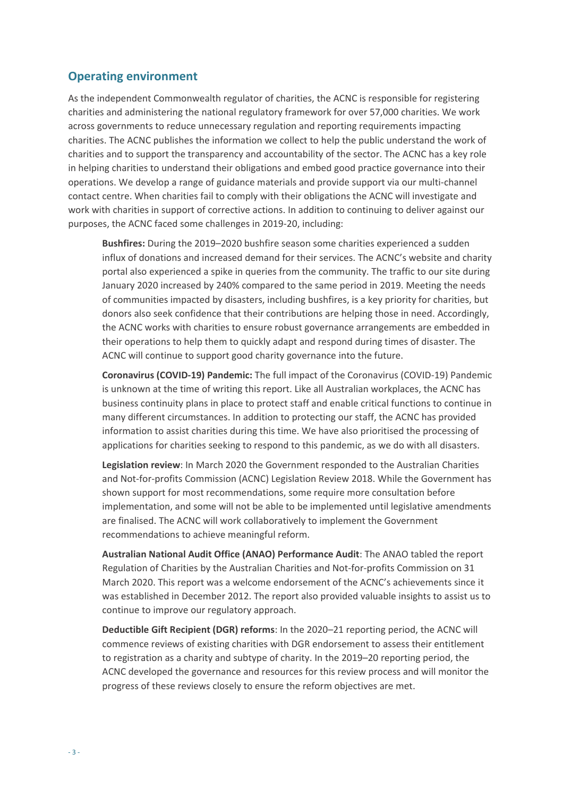### <span id="page-2-0"></span>**Operating environment**

As the independent Commonwealth regulator of charities, the ACNC is responsible for registering charities and administering the national regulatory framework for over 57,000 charities. We work across governments to reduce unnecessary regulation and reporting requirements impacting charities. The ACNC publishes the information we collect to help the public understand the work of charities and to support the transparency and accountability of the sector. The ACNC has a key role in helping charities to understand their obligations and embed good practice governance into their operations. We develop a range of guidance materials and provide support via our multi-channel contact centre. When charities fail to comply with their obligations the ACNC will investigate and work with charities in support of corrective actions. In addition to continuing to deliver against our purposes, the ACNC faced some challenges in 2019-20, including:

**Bushfires:** During the 2019–2020 bushfire season some charities experienced a sudden influx of donations and increased demand for their services. The ACNC's website and charity portal also experienced a spike in queries from the community. The traffic to our site during January 2020 increased by 240% compared to the same period in 2019. Meeting the needs of communities impacted by disasters, including bushfires, is a key priority for charities, but donors also seek confidence that their contributions are helping those in need. Accordingly, the ACNC works with charities to ensure robust governance arrangements are embedded in their operations to help them to quickly adapt and respond during times of disaster. The ACNC will continue to support good charity governance into the future.

**Coronavirus (COVID-19) Pandemic:** The full impact of the Coronavirus (COVID-19) Pandemic is unknown at the time of writing this report. Like all Australian workplaces, the ACNC has business continuity plans in place to protect staff and enable critical functions to continue in many different circumstances. In addition to protecting our staff, the ACNC has provided information to assist charities during this time. We have also prioritised the processing of applications for charities seeking to respond to this pandemic, as we do with all disasters.

**Legislation review**: In March 2020 the Government responded to the Australian Charities and Not-for-profits Commission (ACNC) Legislation Review 2018. While the Government has shown support for most recommendations, some require more consultation before implementation, and some will not be able to be implemented until legislative amendments are finalised. The ACNC will work collaboratively to implement the Government recommendations to achieve meaningful reform.

**Australian National Audit Office (ANAO) Performance Audit**: The ANAO tabled the report Regulation of Charities by the Australian Charities and Not-for-profits Commission on 31 March 2020. This report was a welcome endorsement of the ACNC's achievements since it was established in December 2012. The report also provided valuable insights to assist us to continue to improve our regulatory approach.

**Deductible Gift Recipient (DGR) reforms**: In the 2020–21 reporting period, the ACNC will commence reviews of existing charities with DGR endorsement to assess their entitlement to registration as a charity and subtype of charity. In the 2019–20 reporting period, the ACNC developed the governance and resources for this review process and will monitor the progress of these reviews closely to ensure the reform objectives are met.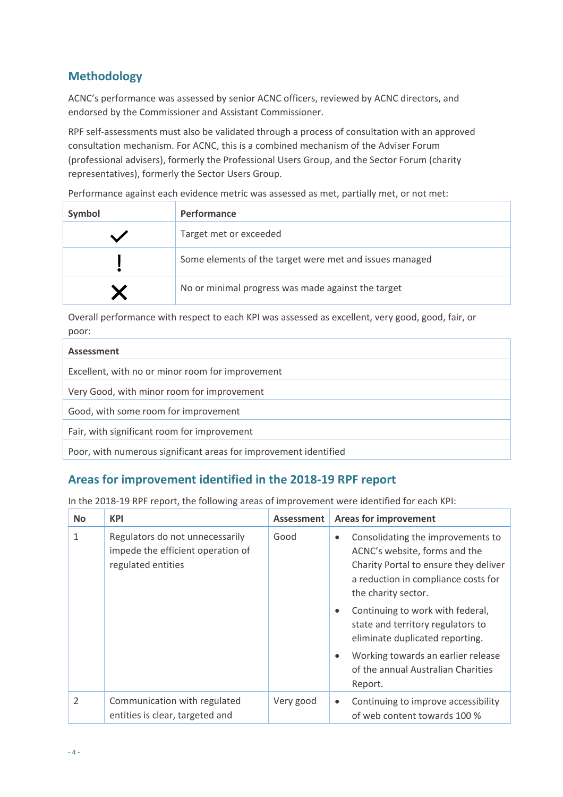# <span id="page-3-0"></span>**Methodology**

ACNC's performance was assessed by senior ACNC officers, reviewed by ACNC directors, and endorsed by the Commissioner and Assistant Commissioner.

RPF self-assessments must also be validated through a process of consultation with an approved consultation mechanism. For ACNC, this is a combined mechanism of the Adviser Forum (professional advisers), formerly the Professional Users Group, and the Sector Forum (charity representatives), formerly the Sector Users Group.

Performance against each evidence metric was assessed as met, partially met, or not met:

| Symbol | <b>Performance</b>                                      |
|--------|---------------------------------------------------------|
|        | Target met or exceeded                                  |
|        | Some elements of the target were met and issues managed |
|        | No or minimal progress was made against the target      |

Overall performance with respect to each KPI was assessed as excellent, very good, good, fair, or poor:

| Assessment                                                       |
|------------------------------------------------------------------|
| Excellent, with no or minor room for improvement                 |
| Very Good, with minor room for improvement                       |
| Good, with some room for improvement                             |
| Fair, with significant room for improvement                      |
| Poor, with numerous significant areas for improvement identified |

## <span id="page-3-1"></span>**Areas for improvement identified in the 2018-19 RPF report**

In the 2018-19 RPF report, the following areas of improvement were identified for each KPI:

| <b>No</b>      | <b>KPI</b>                                                                                 | <b>Assessment</b> | <b>Areas for improvement</b>                                                                                                                                                           |
|----------------|--------------------------------------------------------------------------------------------|-------------------|----------------------------------------------------------------------------------------------------------------------------------------------------------------------------------------|
| $\mathbf{1}$   | Regulators do not unnecessarily<br>impede the efficient operation of<br>regulated entities | Good              | Consolidating the improvements to<br>$\bullet$<br>ACNC's website, forms and the<br>Charity Portal to ensure they deliver<br>a reduction in compliance costs for<br>the charity sector. |
|                |                                                                                            |                   | Continuing to work with federal,<br>$\bullet$<br>state and territory regulators to<br>eliminate duplicated reporting.                                                                  |
|                |                                                                                            |                   | Working towards an earlier release<br>$\bullet$<br>of the annual Australian Charities<br>Report.                                                                                       |
| $\overline{2}$ | Communication with regulated<br>entities is clear, targeted and                            | Very good         | Continuing to improve accessibility<br>$\bullet$<br>of web content towards 100 %                                                                                                       |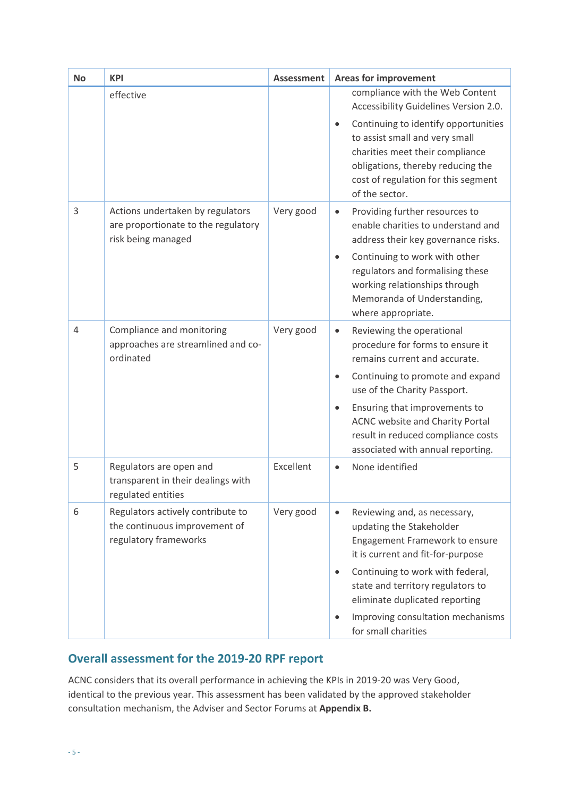| <b>No</b> | <b>KPI</b>                                                                                    | <b>Assessment</b> | <b>Areas for improvement</b>                                                                                                                                                                                                                                                                                                                             |
|-----------|-----------------------------------------------------------------------------------------------|-------------------|----------------------------------------------------------------------------------------------------------------------------------------------------------------------------------------------------------------------------------------------------------------------------------------------------------------------------------------------------------|
|           | effective                                                                                     |                   | compliance with the Web Content<br>Accessibility Guidelines Version 2.0.<br>Continuing to identify opportunities<br>$\bullet$<br>to assist small and very small<br>charities meet their compliance<br>obligations, thereby reducing the<br>cost of regulation for this segment<br>of the sector.                                                         |
| 3         | Actions undertaken by regulators<br>are proportionate to the regulatory<br>risk being managed | Very good         | Providing further resources to<br>$\bullet$<br>enable charities to understand and<br>address their key governance risks.<br>Continuing to work with other<br>$\bullet$<br>regulators and formalising these<br>working relationships through<br>Memoranda of Understanding,<br>where appropriate.                                                         |
| 4         | Compliance and monitoring<br>approaches are streamlined and co-<br>ordinated                  | Very good         | Reviewing the operational<br>$\bullet$<br>procedure for forms to ensure it<br>remains current and accurate.<br>Continuing to promote and expand<br>$\bullet$<br>use of the Charity Passport.<br>Ensuring that improvements to<br>$\bullet$<br>ACNC website and Charity Portal<br>result in reduced compliance costs<br>associated with annual reporting. |
| 5         | Regulators are open and<br>transparent in their dealings with<br>regulated entities           | Excellent         | None identified<br>$\bullet$                                                                                                                                                                                                                                                                                                                             |
| 6         | Regulators actively contribute to<br>the continuous improvement of<br>regulatory frameworks   | Very good         | Reviewing and, as necessary,<br>$\bullet$<br>updating the Stakeholder<br>Engagement Framework to ensure<br>it is current and fit-for-purpose<br>Continuing to work with federal,<br>$\bullet$<br>state and territory regulators to<br>eliminate duplicated reporting<br>Improving consultation mechanisms<br>$\bullet$<br>for small charities            |

# <span id="page-4-0"></span>**Overall assessment for the 2019-20 RPF report**

ACNC considers that its overall performance in achieving the KPIs in 2019-20 was Very Good, identical to the previous year. This assessment has been validated by the approved stakeholder consultation mechanism, the Adviser and Sector Forums at **Appendix B.**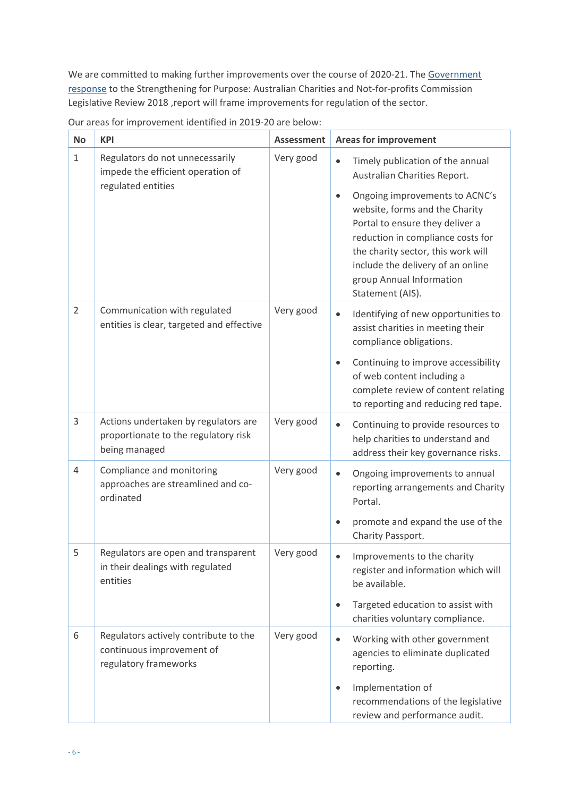We are committed to making further improvements over the course of 2020-21. The Government [response](https://treasury.gov.au/publication/p2020-61958) to th[e Strengthening for Purpose: Australian Charities and Not-for-profits Commission](https://treasury.gov.au/publication/p2018-t318031) [Legislative Review 2018](https://treasury.gov.au/publication/p2018-t318031) , report will frame improvements for regulation of the sector.

| <b>No</b>      | <b>KPI</b>                                                                                    | <b>Assessment</b> | <b>Areas for improvement</b>                                                                                                                                                                                                                                                                                                                                      |  |  |  |
|----------------|-----------------------------------------------------------------------------------------------|-------------------|-------------------------------------------------------------------------------------------------------------------------------------------------------------------------------------------------------------------------------------------------------------------------------------------------------------------------------------------------------------------|--|--|--|
| $\mathbf{1}$   | Regulators do not unnecessarily<br>impede the efficient operation of<br>regulated entities    | Very good         | Timely publication of the annual<br>$\bullet$<br>Australian Charities Report.<br>Ongoing improvements to ACNC's<br>$\bullet$<br>website, forms and the Charity<br>Portal to ensure they deliver a<br>reduction in compliance costs for<br>the charity sector, this work will<br>include the delivery of an online<br>group Annual Information<br>Statement (AIS). |  |  |  |
| $\overline{2}$ | Communication with regulated<br>entities is clear, targeted and effective                     | Very good         | Identifying of new opportunities to<br>$\bullet$<br>assist charities in meeting their<br>compliance obligations.<br>Continuing to improve accessibility<br>$\bullet$<br>of web content including a<br>complete review of content relating<br>to reporting and reducing red tape.                                                                                  |  |  |  |
| 3              | Actions undertaken by regulators are<br>proportionate to the regulatory risk<br>being managed | Very good         | Continuing to provide resources to<br>$\bullet$<br>help charities to understand and<br>address their key governance risks.                                                                                                                                                                                                                                        |  |  |  |
| $\overline{4}$ | Compliance and monitoring<br>approaches are streamlined and co-<br>ordinated                  | Very good         | Ongoing improvements to annual<br>$\bullet$<br>reporting arrangements and Charity<br>Portal.<br>promote and expand the use of the<br>Charity Passport.                                                                                                                                                                                                            |  |  |  |
| 5              | Regulators are open and transparent<br>in their dealings with regulated<br>entities           | Very good         | Improvements to the charity<br>register and information which will<br>be available.<br>Targeted education to assist with<br>$\bullet$<br>charities voluntary compliance.                                                                                                                                                                                          |  |  |  |
| 6              | Regulators actively contribute to the<br>continuous improvement of<br>regulatory frameworks   | Very good         | Working with other government<br>$\bullet$<br>agencies to eliminate duplicated<br>reporting.<br>Implementation of<br>$\bullet$<br>recommendations of the legislative<br>review and performance audit.                                                                                                                                                             |  |  |  |

Our areas for improvement identified in 2019-20 are below: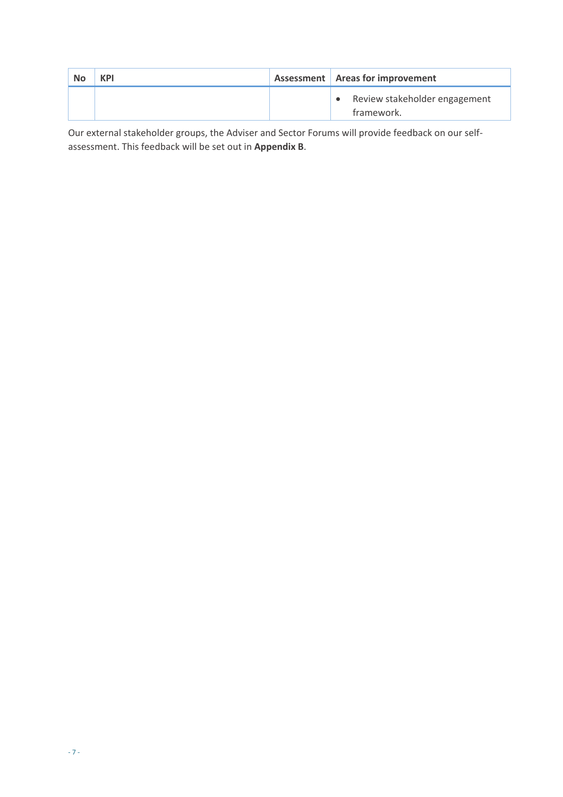| <b>No</b> | <b>KPI</b> | Assessment   Areas for improvement          |
|-----------|------------|---------------------------------------------|
|           |            | Review stakeholder engagement<br>framework. |

Our external stakeholder groups, the Adviser and Sector Forums will provide feedback on our selfassessment. This feedback will be set out in **Appendix B**.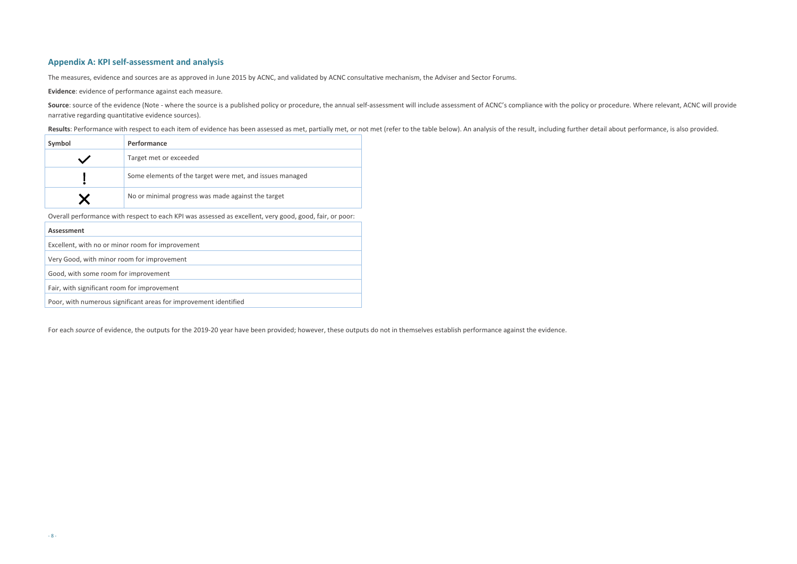## <span id="page-7-0"></span>**Appendix A: KPI self-assessment and analysis**

The measures, evidence and sources are as approved in June 2015 by ACNC, and validated by ACNC consultative mechanism, the Adviser and Sector Forums.

**Evidence**: evidence of performance against each measure.

Source: source of the evidence (Note - where the source is a published policy or procedure, the annual self-assessment will include assessment of ACNC's compliance with the policy or procedure. Where relevant, ACNC will pr narrative regarding quantitative evidence sources).

Results: Performance with respect to each item of evidence has been assessed as met, partially met, or not met (refer to the table below). An analysis of the result, including further detail about performance, is also prov

| Symbol | <b>Performance</b>                                       |
|--------|----------------------------------------------------------|
|        | Target met or exceeded                                   |
|        | Some elements of the target were met, and issues managed |
|        | No or minimal progress was made against the target       |

Overall performance with respect to each KPI was assessed as excellent, very good, good, fair, or poor:

| Assessment                                                       |
|------------------------------------------------------------------|
| Excellent, with no or minor room for improvement                 |
| Very Good, with minor room for improvement                       |
| Good, with some room for improvement                             |
| Fair, with significant room for improvement                      |
| Poor, with numerous significant areas for improvement identified |

For each *source* of evidence, the outputs for the 2019-20 year have been provided; however, these outputs do not in themselves establish performance against the evidence.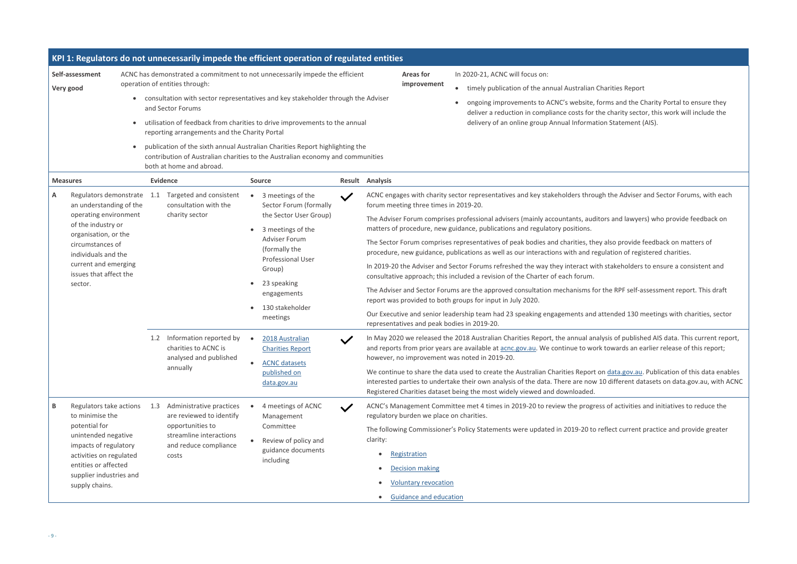#### Charities Report

forms and the Charity Portal to ensure they the charity sector, this work will include the tion Statement (AIS).

agh the Adviser and Sector Forums, with each

itors and lawyers) who provide feedback on

ey also provide feedback on matters of egulation of registered charities.

th stakeholders to ensure a consistent and

or the RPF self-assessment report. This draft

attended 130 meetings with charities, sector

alysis of published AIS data. This current report, rk towards an earlier release of this report;

on data gov.au. Publication of this data enables Interested parties to undertaing their oundertake the datasets on data.gov.au, with ACNC

ess of activities and initiatives to reduce the

reflect current practice and provide greater

|                                                                                                                                                                                                                                |                            |                                                                                                                                                                                       | KPI 1: Regulators do not unnecessarily impede the efficient operation of regulated entities                                                                                                                                                                                                                                                                                                                      |              |                                                                                                                                                                                                                                                                                                                                                                                                                                                                                                                                                                                                                                                                                                                                                                                                                                                                                                                                                                                                                                                                                                                                                                                                                        |
|--------------------------------------------------------------------------------------------------------------------------------------------------------------------------------------------------------------------------------|----------------------------|---------------------------------------------------------------------------------------------------------------------------------------------------------------------------------------|------------------------------------------------------------------------------------------------------------------------------------------------------------------------------------------------------------------------------------------------------------------------------------------------------------------------------------------------------------------------------------------------------------------|--------------|------------------------------------------------------------------------------------------------------------------------------------------------------------------------------------------------------------------------------------------------------------------------------------------------------------------------------------------------------------------------------------------------------------------------------------------------------------------------------------------------------------------------------------------------------------------------------------------------------------------------------------------------------------------------------------------------------------------------------------------------------------------------------------------------------------------------------------------------------------------------------------------------------------------------------------------------------------------------------------------------------------------------------------------------------------------------------------------------------------------------------------------------------------------------------------------------------------------------|
| Self-assessment<br>Very good                                                                                                                                                                                                   |                            | operation of entities through:<br>and Sector Forums<br>reporting arrangements and the Charity Portal<br>both at home and abroad.                                                      | ACNC has demonstrated a commitment to not unnecessarily impede the efficient<br>consultation with sector representatives and key stakeholder through the Adviser<br>utilisation of feedback from charities to drive improvements to the annual<br>publication of the sixth annual Australian Charities Report highlighting the<br>contribution of Australian charities to the Australian economy and communities |              | <b>Areas for</b><br>In 2020-21, ACNC will focus on:<br>improvement<br>timely publication of the annual Australian (<br>$\bullet$<br>ongoing improvements to ACNC's website, f<br>$\bullet$<br>deliver a reduction in compliance costs for t<br>delivery of an online group Annual Informat                                                                                                                                                                                                                                                                                                                                                                                                                                                                                                                                                                                                                                                                                                                                                                                                                                                                                                                             |
| <b>Measures</b><br>Α<br>an understanding of the<br>operating environment<br>of the industry or<br>organisation, or the<br>circumstances of<br>individuals and the<br>current and emerging<br>issues that affect the<br>sector. | Regulators demonstrate 1.1 | <b>Evidence</b><br>Targeted and consistent<br>consultation with the<br>charity sector<br>Information reported by<br>1.2<br>charities to ACNC is<br>analysed and published<br>annually | Source<br>3 meetings of the<br>Sector Forum (formally<br>the Sector User Group)<br>3 meetings of the<br><b>Adviser Forum</b><br>(formally the<br>Professional User<br>Group)<br>23 speaking<br>engagements<br>130 stakeholder<br>meetings<br>2018 Australian<br><b>Charities Report</b><br><b>ACNC</b> datasets<br>published on                                                                                  | $\checkmark$ | <b>Result Analysis</b><br>ACNC engages with charity sector representatives and key stakeholders throu<br>forum meeting three times in 2019-20.<br>The Adviser Forum comprises professional advisers (mainly accountants, audi<br>matters of procedure, new guidance, publications and regulatory positions.<br>The Sector Forum comprises representatives of peak bodies and charities, the<br>procedure, new guidance, publications as well as our interactions with and rea<br>In 2019-20 the Adviser and Sector Forums refreshed the way they interact wit<br>consultative approach; this included a revision of the Charter of each forum.<br>The Adviser and Sector Forums are the approved consultation mechanisms fo<br>report was provided to both groups for input in July 2020.<br>Our Executive and senior leadership team had 23 speaking engagements and<br>representatives and peak bodies in 2019-20.<br>In May 2020 we released the 2018 Australian Charities Report, the annual ana<br>and reports from prior years are available at acnc.gov.au. We continue to wor<br>however, no improvement was noted in 2019-20.<br>We continue to share the data used to create the Australian Charities Report |
| Regulators take actions<br>В<br>to minimise the<br>potential for<br>unintended negative<br>impacts of regulatory<br>activities on regulated<br>entities or affected<br>supplier industries and<br>supply chains.               |                            | Administrative practices<br>1.3<br>are reviewed to identify<br>opportunities to<br>streamline interactions<br>and reduce compliance<br>costs                                          | data.gov.au<br>4 meetings of ACNC<br>Management<br>Committee<br>Review of policy and<br>guidance documents<br>including                                                                                                                                                                                                                                                                                          | $\checkmark$ | interested parties to undertake their own analysis of the data. There are now<br>Registered Charities dataset being the most widely viewed and downloaded.<br>ACNC's Management Committee met 4 times in 2019-20 to review the progre<br>regulatory burden we place on charities.<br>The following Commissioner's Policy Statements were updated in 2019-20 to<br>clarity:<br>Registration<br><b>Decision making</b><br><b>Voluntary revocation</b><br><b>Guidance and education</b>                                                                                                                                                                                                                                                                                                                                                                                                                                                                                                                                                                                                                                                                                                                                   |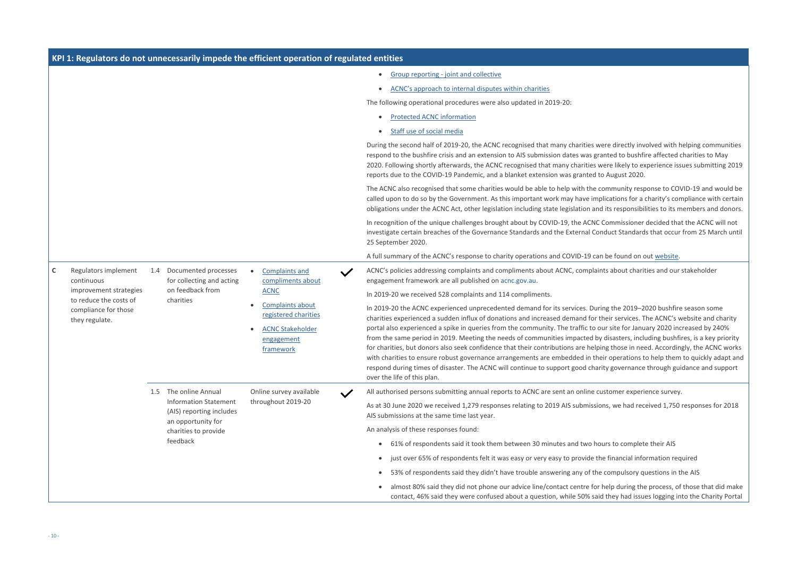|                                                                  |                        |               |                                                                                                        | KPI 1: Regulators do not unnecessarily impede the efficient operation of regulated entities                                                                        |                                                                                                                                                                                                                                                                                                                                                                                                                                                                                                                                                                                                                                  |
|------------------------------------------------------------------|------------------------|---------------|--------------------------------------------------------------------------------------------------------|--------------------------------------------------------------------------------------------------------------------------------------------------------------------|----------------------------------------------------------------------------------------------------------------------------------------------------------------------------------------------------------------------------------------------------------------------------------------------------------------------------------------------------------------------------------------------------------------------------------------------------------------------------------------------------------------------------------------------------------------------------------------------------------------------------------|
|                                                                  |                        |               |                                                                                                        |                                                                                                                                                                    | Group reporting - joint and collective<br>$\bullet$                                                                                                                                                                                                                                                                                                                                                                                                                                                                                                                                                                              |
|                                                                  |                        |               |                                                                                                        |                                                                                                                                                                    | ACNC's approach to internal disputes within charities<br>$\bullet$                                                                                                                                                                                                                                                                                                                                                                                                                                                                                                                                                               |
|                                                                  |                        |               |                                                                                                        |                                                                                                                                                                    | The following operational procedures were also updated in 2019-20:                                                                                                                                                                                                                                                                                                                                                                                                                                                                                                                                                               |
|                                                                  |                        |               |                                                                                                        |                                                                                                                                                                    | <b>Protected ACNC information</b><br>$\bullet$                                                                                                                                                                                                                                                                                                                                                                                                                                                                                                                                                                                   |
|                                                                  |                        |               |                                                                                                        |                                                                                                                                                                    | Staff use of social media<br>$\bullet$                                                                                                                                                                                                                                                                                                                                                                                                                                                                                                                                                                                           |
|                                                                  |                        |               |                                                                                                        |                                                                                                                                                                    | During the second half of 2019-20, the ACNC recognised that many charities wer<br>respond to the bushfire crisis and an extension to AIS submission dates was gran<br>2020. Following shortly afterwards, the ACNC recognised that many charities we<br>reports due to the COVID-19 Pandemic, and a blanket extension was granted to                                                                                                                                                                                                                                                                                             |
|                                                                  |                        |               |                                                                                                        |                                                                                                                                                                    | The ACNC also recognised that some charities would be able to help with the cor<br>called upon to do so by the Government. As this important work may have implie<br>obligations under the ACNC Act, other legislation including state legislation and i                                                                                                                                                                                                                                                                                                                                                                         |
|                                                                  |                        |               |                                                                                                        |                                                                                                                                                                    | In recognition of the unique challenges brought about by COVID-19, the ACNC Co<br>investigate certain breaches of the Governance Standards and the External Cond<br>25 September 2020.                                                                                                                                                                                                                                                                                                                                                                                                                                           |
|                                                                  |                        |               |                                                                                                        |                                                                                                                                                                    | A full summary of the ACNC's response to charity operations and COVID-19 can b                                                                                                                                                                                                                                                                                                                                                                                                                                                                                                                                                   |
| $\mathsf C$<br>continuous                                        | Regulators implement   | $1.4^{\circ}$ | Documented processes<br>for collecting and acting<br>on feedback from<br>charities                     | <b>Complaints and</b><br>compliments about<br><b>ACNC</b><br><b>Complaints about</b><br>registered charities<br><b>ACNC Stakeholder</b><br>engagement<br>framework | ACNC's policies addressing complaints and compliments about ACNC, complaints<br>engagement framework are all published on acnc.gov.au.                                                                                                                                                                                                                                                                                                                                                                                                                                                                                           |
|                                                                  | improvement strategies |               |                                                                                                        |                                                                                                                                                                    | In 2019-20 we received 528 complaints and 114 compliments.                                                                                                                                                                                                                                                                                                                                                                                                                                                                                                                                                                       |
| to reduce the costs of<br>compliance for those<br>they regulate. |                        |               |                                                                                                        |                                                                                                                                                                    | In 2019-20 the ACNC experienced unprecedented demand for its services. During<br>charities experienced a sudden influx of donations and increased demand for the<br>portal also experienced a spike in queries from the community. The traffic to our<br>from the same period in 2019. Meeting the needs of communities impacted by d<br>for charities, but donors also seek confidence that their contributions are helping<br>with charities to ensure robust governance arrangements are embedded in their<br>respond during times of disaster. The ACNC will continue to support good charity<br>over the life of this plan. |
|                                                                  |                        | 1.5           | The online Annual                                                                                      | Online survey available                                                                                                                                            | All authorised persons submitting annual reports to ACNC are sent an online cust<br>$\checkmark$                                                                                                                                                                                                                                                                                                                                                                                                                                                                                                                                 |
|                                                                  |                        |               | <b>Information Statement</b><br>(AIS) reporting includes<br>an opportunity for<br>charities to provide | throughout 2019-20                                                                                                                                                 | As at 30 June 2020 we received 1,279 responses relating to 2019 AIS submissions<br>AIS submissions at the same time last year.                                                                                                                                                                                                                                                                                                                                                                                                                                                                                                   |
|                                                                  |                        |               |                                                                                                        |                                                                                                                                                                    | An analysis of these responses found:                                                                                                                                                                                                                                                                                                                                                                                                                                                                                                                                                                                            |
|                                                                  |                        |               | feedback                                                                                               |                                                                                                                                                                    | 61% of respondents said it took them between 30 minutes and two hour<br>$\bullet$                                                                                                                                                                                                                                                                                                                                                                                                                                                                                                                                                |
|                                                                  |                        |               |                                                                                                        |                                                                                                                                                                    | just over 65% of respondents felt it was easy or very easy to provide the<br>$\bullet$                                                                                                                                                                                                                                                                                                                                                                                                                                                                                                                                           |
|                                                                  |                        |               |                                                                                                        |                                                                                                                                                                    | 53% of respondents said they didn't have trouble answering any of the c<br>$\bullet$                                                                                                                                                                                                                                                                                                                                                                                                                                                                                                                                             |
|                                                                  |                        |               |                                                                                                        | almost 80% said they did not phone our advice line/contact centre for he<br>contact, 46% said they were confused about a question, while 50% said t                |                                                                                                                                                                                                                                                                                                                                                                                                                                                                                                                                                                                                                                  |

re directly involved with helping communities nted to bushfire affected charities to May ere likely to experience issues submitting 2019 August 2020.

mmunity response to COVID-19 and would be ications for a charity's compliance with certain its responsibilities to its members and donors.

Iommissioner decided that the ACNC will not duct Standards that occur from 25 March until

be found on out [website.](https://www.acnc.gov.au/node/5781959)

s about charities and our stakeholder

Ig the 2019-2020 bushfire season some eir services. The ACNC's website and charity site for January 2020 increased by 240% fisasters, including bushfires, is a key priority ig those in need. Accordingly, the ACNC works operations to help them to quickly adapt and y governance through guidance and support

Altomer experience survey.

is, we had received 1,750 responses for 2018

rs to complete their AIS

financial information required

compulsory questions in the AIS

elp during the process, of those that did make they had issues logging into the Charity Portal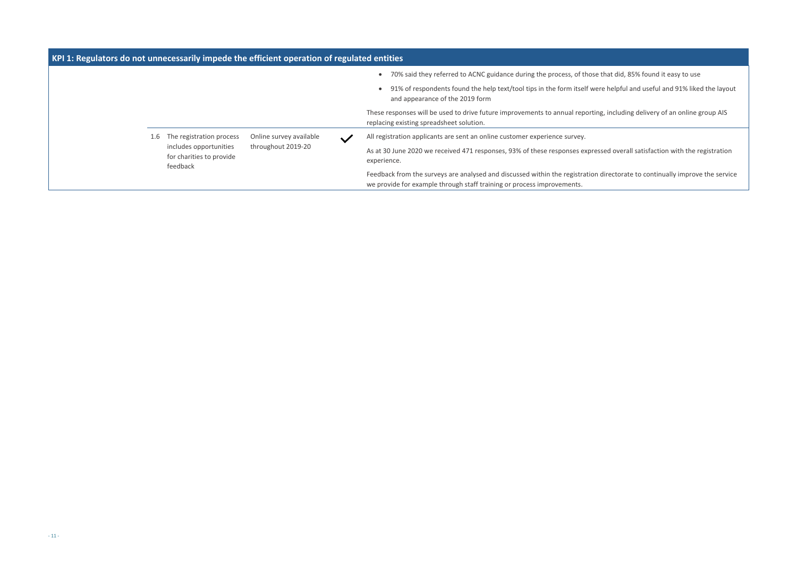that did, 85% found it easy to use  $e$  helpful and useful and 91% liked the layout

, including delivery of an online group AIS

sed overall satisfaction with the registration

directorate to continually improve the service

| KPI 1: Regulators do not unnecessarily impede the efficient operation of regulated entities |                                 |                                                                |                                                               |                                                                                                                                                          |
|---------------------------------------------------------------------------------------------|---------------------------------|----------------------------------------------------------------|---------------------------------------------------------------|----------------------------------------------------------------------------------------------------------------------------------------------------------|
|                                                                                             |                                 |                                                                |                                                               | 70% said they referred to ACNC guidance during the process, of those tl<br>$\bullet$                                                                     |
|                                                                                             |                                 |                                                                |                                                               | 91% of respondents found the help text/tool tips in the form itself were<br>and appearance of the 2019 form                                              |
|                                                                                             |                                 |                                                                |                                                               | These responses will be used to drive future improvements to annual reporting<br>replacing existing spreadsheet solution.                                |
|                                                                                             | The registration process<br>1.6 |                                                                | Online survey available<br>$\checkmark$<br>throughout 2019-20 | All registration applicants are sent an online customer experience survey.                                                                               |
|                                                                                             |                                 | includes opportunities<br>for charities to provide<br>feedback |                                                               | As at 30 June 2020 we received 471 responses, 93% of these responses expresse<br>experience.                                                             |
|                                                                                             |                                 |                                                                |                                                               | Feedback from the surveys are analysed and discussed within the registration d<br>we provide for example through staff training or process improvements. |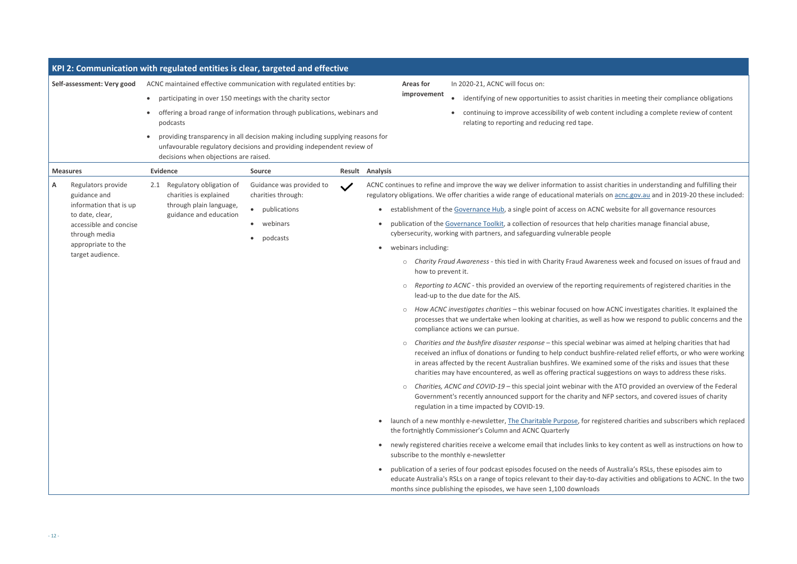rities in meeting their compliance obligations htent including a complete review of content

t charities in understanding and fulfilling their s on **acnc.gov.au and in 2019-20** these included:

IC website for all governance resources

elp charities manage financial abuse,

reness week and focused on issues of fraud and

*Requirements of registered charities in the* 

w ACNC investigates charities. It explained the as how we respond to public concerns and the

inar was aimed at helping charities that had hfire-related relief efforts, or who were working ned some of the risks and issues that these. uggestions on ways to address these risks.

the ATO provided an overview of the Federal I NFP sectors, and covered issues of charity

istered charities and subscribers which replaced

to key content as well as instructions on how to

of Australia's RSLs, these episodes aim to lay activities and obligations to ACNC. In the two

|   | Self-assessment: Very good                                                        | KPI 2: Communication with regulated entities is clear, targeted and effective | ACNC maintained effective communication with regulated entities by:                                                                                    | In 2020-21, ACNC will focus on:<br><b>Areas for</b>                |                                                                                                                                                                                                                                                                                                 |
|---|-----------------------------------------------------------------------------------|-------------------------------------------------------------------------------|--------------------------------------------------------------------------------------------------------------------------------------------------------|--------------------------------------------------------------------|-------------------------------------------------------------------------------------------------------------------------------------------------------------------------------------------------------------------------------------------------------------------------------------------------|
|   |                                                                                   | $\bullet$                                                                     | participating in over 150 meetings with the charity sector                                                                                             | improvement<br>identifying of new opportunities to assist charitie |                                                                                                                                                                                                                                                                                                 |
|   |                                                                                   | podcasts                                                                      | offering a broad range of information through publications, webinars and                                                                               |                                                                    | continuing to improve accessibility of web conter<br>relating to reporting and reducing red tape.                                                                                                                                                                                               |
|   |                                                                                   | decisions when objections are raised.                                         | providing transparency in all decision making including supplying reasons for<br>unfavourable regulatory decisions and providing independent review of |                                                                    |                                                                                                                                                                                                                                                                                                 |
|   | <b>Measures</b>                                                                   | <b>Evidence</b>                                                               | Source                                                                                                                                                 |                                                                    | Result Analysis                                                                                                                                                                                                                                                                                 |
| A | Regulators provide<br>guidance and                                                | Regulatory obligation of<br>2.1<br>charities is explained                     | Guidance was provided to<br>charities through:                                                                                                         | $\checkmark$                                                       | ACNC continues to refine and improve the way we deliver information to assist ch<br>regulatory obligations. We offer charities a wide range of educational materials or                                                                                                                         |
|   | information that is up<br>to date, clear,                                         | through plain language,<br>guidance and education                             | publications<br>$\bullet$                                                                                                                              |                                                                    | establishment of the Governance Hub, a single point of access on ACNC w                                                                                                                                                                                                                         |
|   | accessible and concise<br>through media<br>appropriate to the<br>target audience. |                                                                               | webinars<br>$\bullet$<br>podcasts<br>$\bullet$                                                                                                         |                                                                    | publication of the Governance Toolkit, a collection of resources that help<br>$\bullet$                                                                                                                                                                                                         |
|   |                                                                                   |                                                                               |                                                                                                                                                        |                                                                    | cybersecurity, working with partners, and safeguarding vulnerable people                                                                                                                                                                                                                        |
|   |                                                                                   |                                                                               |                                                                                                                                                        | webinars including:<br>$\bullet$                                   |                                                                                                                                                                                                                                                                                                 |
|   |                                                                                   |                                                                               |                                                                                                                                                        |                                                                    | Charity Fraud Awareness - this tied in with Charity Fraud Awarene<br>$\circlearrowright$<br>how to prevent it.                                                                                                                                                                                  |
|   |                                                                                   |                                                                               |                                                                                                                                                        |                                                                    | Reporting to ACNC - this provided an overview of the reporting re<br>$\circ$<br>lead-up to the due date for the AIS.                                                                                                                                                                            |
|   |                                                                                   |                                                                               |                                                                                                                                                        |                                                                    | How ACNC investigates charities - this webinar focused on how A<br>$\circlearrowright$<br>processes that we undertake when looking at charities, as well as<br>compliance actions we can pursue.                                                                                                |
|   |                                                                                   |                                                                               |                                                                                                                                                        |                                                                    | Charities and the bushfire disaster response - this special webinar<br>$\circ$<br>received an influx of donations or funding to help conduct bushfir<br>in areas affected by the recent Australian bushfires. We examined<br>charities may have encountered, as well as offering practical sugg |
|   |                                                                                   |                                                                               |                                                                                                                                                        |                                                                    | Charities, ACNC and COVID-19 - this special joint webinar with the<br>$\circlearrowright$<br>Government's recently announced support for the charity and NF<br>regulation in a time impacted by COVID-19.                                                                                       |
|   |                                                                                   |                                                                               |                                                                                                                                                        |                                                                    | launch of a new monthly e-newsletter, The Charitable Purpose, for registe<br>$\bullet$<br>the fortnightly Commissioner's Column and ACNC Quarterly                                                                                                                                              |
|   |                                                                                   |                                                                               |                                                                                                                                                        |                                                                    | newly registered charities receive a welcome email that includes links to k<br>subscribe to the monthly e-newsletter                                                                                                                                                                            |
|   |                                                                                   |                                                                               |                                                                                                                                                        |                                                                    | publication of a series of four podcast episodes focused on the needs of A<br>educate Australia's RSLs on a range of topics relevant to their day-to-day a<br>months since publishing the episodes, we have seen 1,100 downloads                                                                |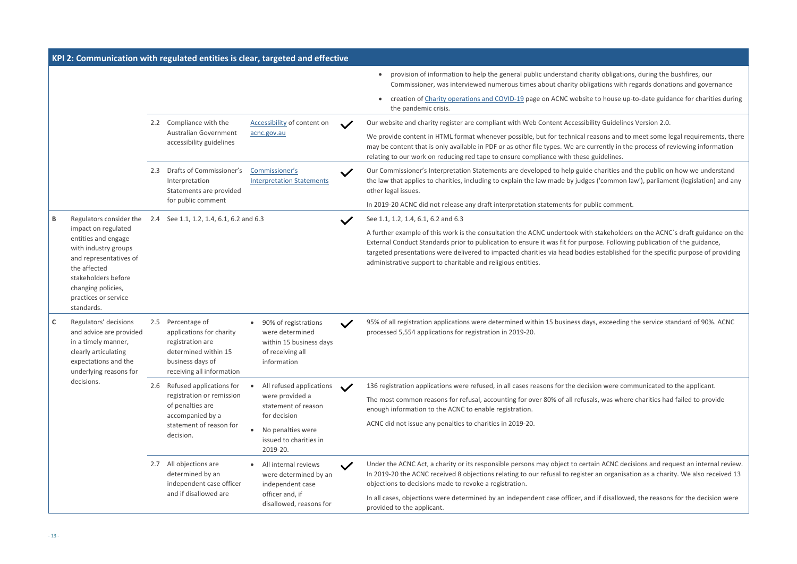*i* obligations, during the bushfires, our tions with regards donations and governance

o house up-to-date guidance for charities during

Guidelines Version 2.0.

ons and to meet some legal requirements, there ently in the process of reviewing information

narities and the public on how we understand 'common law'), parliament (legislation) and any

comment.

takeholders on the ACNC`s draft guidance on the e. Following publication of the guidance, established for the specific purpose of providing

exceeding the service standard of 90%. ACNC

were communicated to the applicant.

was where charities had failed to provide

I ACNC decisions and request an internal review. n organisation as a charity. We also received 13

disallowed, the reasons for the decision were

|   |                                                                                                                                                                                                 |                                         |                                                                                                                                        | KPI 2: Communication with regulated entities is clear, targeted and effective                         |              |                                                                                                                                                                                                                                                                                                                                           |
|---|-------------------------------------------------------------------------------------------------------------------------------------------------------------------------------------------------|-----------------------------------------|----------------------------------------------------------------------------------------------------------------------------------------|-------------------------------------------------------------------------------------------------------|--------------|-------------------------------------------------------------------------------------------------------------------------------------------------------------------------------------------------------------------------------------------------------------------------------------------------------------------------------------------|
|   |                                                                                                                                                                                                 |                                         |                                                                                                                                        |                                                                                                       |              | provision of information to help the general public understand charity obligat<br>Commissioner, was interviewed numerous times about charity obligations wit                                                                                                                                                                              |
|   |                                                                                                                                                                                                 |                                         |                                                                                                                                        |                                                                                                       |              | creation of Charity operations and COVID-19 page on ACNC website to house<br>the pandemic crisis.                                                                                                                                                                                                                                         |
|   |                                                                                                                                                                                                 |                                         | 2.2 Compliance with the                                                                                                                | Accessibility of content on                                                                           |              | Our website and charity register are compliant with Web Content Accessibility Guideli                                                                                                                                                                                                                                                     |
|   |                                                                                                                                                                                                 |                                         | <b>Australian Government</b><br>accessibility guidelines                                                                               | acnc.gov.au                                                                                           |              | We provide content in HTML format whenever possible, but for technical reasons and<br>may be content that is only available in PDF or as other file types. We are currently in<br>relating to our work on reducing red tape to ensure compliance with these guidelines.                                                                   |
|   |                                                                                                                                                                                                 | 2.3                                     | Drafts of Commissioner's<br>Interpretation<br>Statements are provided                                                                  | Commissioner's<br><b>Interpretation Statements</b>                                                    |              | Our Commissioner's Interpretation Statements are developed to help guide charities and<br>the law that applies to charities, including to explain the law made by judges ('commo<br>other legal issues.                                                                                                                                   |
|   |                                                                                                                                                                                                 |                                         | for public comment                                                                                                                     |                                                                                                       |              | In 2019-20 ACNC did not release any draft interpretation statements for public comme                                                                                                                                                                                                                                                      |
| B | Regulators consider the                                                                                                                                                                         | 2.4 See 1.1, 1.2, 1.4, 6.1, 6.2 and 6.3 |                                                                                                                                        |                                                                                                       |              | See 1.1, 1.2, 1.4, 6.1, 6.2 and 6.3                                                                                                                                                                                                                                                                                                       |
|   | impact on regulated<br>entities and engage<br>with industry groups<br>and representatives of<br>the affected<br>stakeholders before<br>changing policies,<br>practices or service<br>standards. |                                         |                                                                                                                                        |                                                                                                       |              | A further example of this work is the consultation the ACNC undertook with stakehold<br>External Conduct Standards prior to publication to ensure it was fit for purpose. Folloy<br>targeted presentations were delivered to impacted charities via head bodies establish<br>administrative support to charitable and religious entities. |
| C | Regulators' decisions<br>and advice are provided<br>in a timely manner,<br>clearly articulating<br>expectations and the<br>underlying reasons for                                               | 2.5                                     | Percentage of<br>applications for charity<br>registration are<br>determined within 15<br>business days of<br>receiving all information | 90% of registrations<br>were determined<br>within 15 business days<br>of receiving all<br>information | $\checkmark$ | 95% of all registration applications were determined within 15 business days, exceedi<br>processed 5,554 applications for registration in 2019-20.                                                                                                                                                                                        |
|   | decisions.                                                                                                                                                                                      | 2.6                                     | Refused applications for                                                                                                               | All refused applications                                                                              |              | 136 registration applications were refused, in all cases reasons for the decision were c                                                                                                                                                                                                                                                  |
|   |                                                                                                                                                                                                 |                                         | registration or remission<br>of penalties are<br>accompanied by a                                                                      | were provided a<br>statement of reason<br>for decision                                                |              | The most common reasons for refusal, accounting for over 80% of all refusals, was wh<br>enough information to the ACNC to enable registration.                                                                                                                                                                                            |
|   |                                                                                                                                                                                                 |                                         | statement of reason for                                                                                                                | No penalties were                                                                                     |              | ACNC did not issue any penalties to charities in 2019-20.                                                                                                                                                                                                                                                                                 |
|   |                                                                                                                                                                                                 |                                         | decision.                                                                                                                              | issued to charities in<br>2019-20.                                                                    |              |                                                                                                                                                                                                                                                                                                                                           |
|   |                                                                                                                                                                                                 | 2.7                                     | All objections are<br>determined by an<br>independent case officer                                                                     | All internal reviews<br>were determined by an<br>independent case                                     |              | Under the ACNC Act, a charity or its responsible persons may object to certain ACNC of<br>In 2019-20 the ACNC received 8 objections relating to our refusal to register an organi<br>objections to decisions made to revoke a registration.                                                                                               |
|   |                                                                                                                                                                                                 |                                         | and if disallowed are                                                                                                                  | officer and, if<br>disallowed, reasons for                                                            |              | In all cases, objections were determined by an independent case officer, and if disallot<br>provided to the applicant.                                                                                                                                                                                                                    |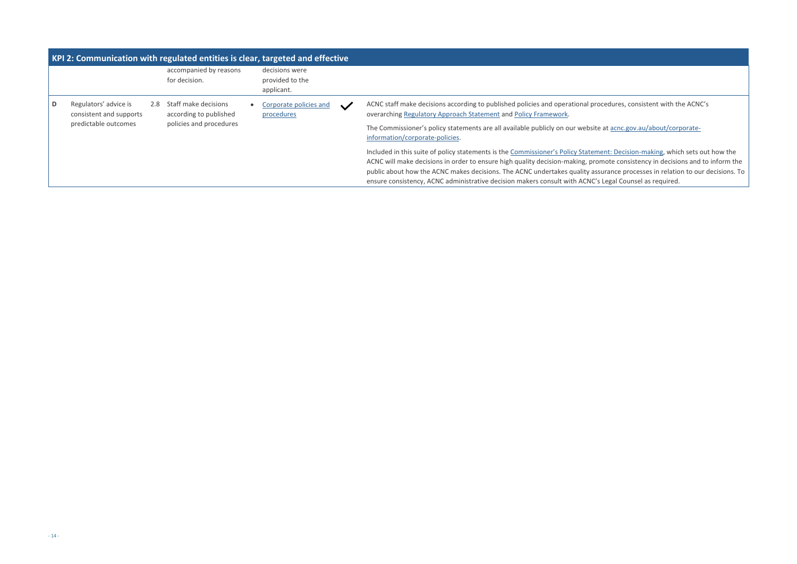ocedures, consistent with the ACNC's

e at **acnc.gov.au/about/corporate-**

**nent: Decision-making, which sets out how the** mote consistency in decisions and to inform the surance processes in relation to our decisions. To s Legal Counsel as required.

|   | KPI 2: Communication with regulated entities is clear, targeted and effective |                         |                                                |  |                                                                                                                   |              |                                                                                                                                                                                                                                                                                                                                     |  |  |  |  |
|---|-------------------------------------------------------------------------------|-------------------------|------------------------------------------------|--|-------------------------------------------------------------------------------------------------------------------|--------------|-------------------------------------------------------------------------------------------------------------------------------------------------------------------------------------------------------------------------------------------------------------------------------------------------------------------------------------|--|--|--|--|
|   |                                                                               |                         | accompanied by reasons<br>for decision.        |  | decisions were<br>provided to the<br>applicant.                                                                   |              |                                                                                                                                                                                                                                                                                                                                     |  |  |  |  |
| D | Regulators' advice is<br>consistent and supports                              | 2.8                     | Staff make decisions<br>according to published |  | Corporate policies and<br>procedures                                                                              | $\checkmark$ | ACNC staff make decisions according to published policies and operational pro-<br>overarching Regulatory Approach Statement and Policy Framework.                                                                                                                                                                                   |  |  |  |  |
|   | predictable outcomes                                                          | policies and procedures |                                                |  | The Commissioner's policy statements are all available publicly on our website<br>information/corporate-policies. |              |                                                                                                                                                                                                                                                                                                                                     |  |  |  |  |
|   |                                                                               |                         |                                                |  |                                                                                                                   |              | Included in this suite of policy statements is the Commissioner's Policy Statements<br>ACNC will make decisions in order to ensure high quality decision-making, pror<br>public about how the ACNC makes decisions. The ACNC undertakes quality assi<br>ensure consistency, ACNC administrative decision makers consult with ACNC's |  |  |  |  |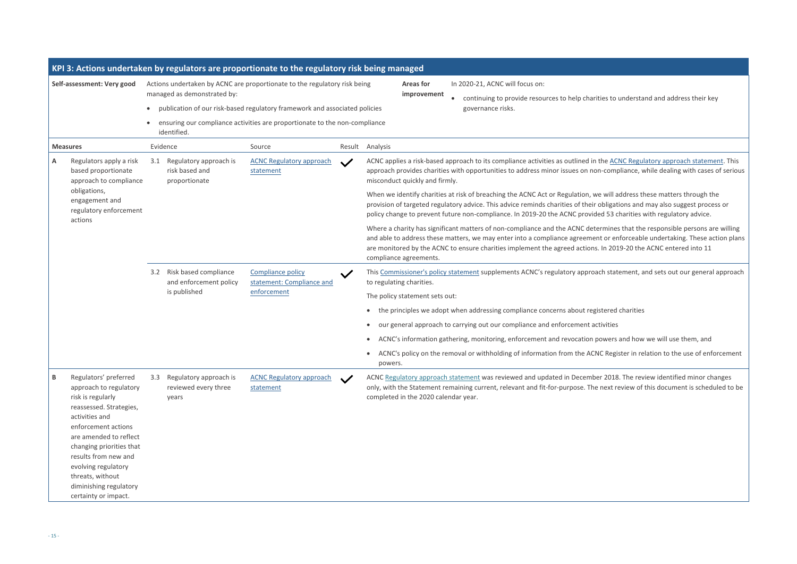ties to understand and address their key

the [ACNC Regulatory approach statement.](https://www.acnc.gov.au/raise-concern/regulating-charities/regulatory-approach-statement) This 1-compliance, while dealing with cases of serious

will address these matters through the poligations and may also suggest process or ed 53 charities with regulatory advice.

e charity is significant matters in the responsible persons are willing t or enforceable undertaking. These action plans In 2019-20 the ACNC entered into 11

ch statement, and sets out our general approach

stered charities

owers and how we will use them, and

C Register in relation to the use of enforcement

r 2018. The revie[w](https://www.acnc.gov.au/raise-concern/regulating-charities/regulatory-approach-statement) identified minor changes next review of this document is scheduled to be

|                                                                                                                                                                                                                                                                                                                          |         |     |                                                                     | KPI 3: Actions undertaken by regulators are proportionate to the regulatory risk being managed                                                                                                                                        |        |                                 |                                                                                                              |                                                                                                                                                                                                                                                                       |
|--------------------------------------------------------------------------------------------------------------------------------------------------------------------------------------------------------------------------------------------------------------------------------------------------------------------------|---------|-----|---------------------------------------------------------------------|---------------------------------------------------------------------------------------------------------------------------------------------------------------------------------------------------------------------------------------|--------|---------------------------------|--------------------------------------------------------------------------------------------------------------|-----------------------------------------------------------------------------------------------------------------------------------------------------------------------------------------------------------------------------------------------------------------------|
| Self-assessment: Very good                                                                                                                                                                                                                                                                                               |         |     | managed as demonstrated by:<br>identified.                          | Actions undertaken by ACNC are proportionate to the regulatory risk being<br>publication of our risk-based regulatory framework and associated policies<br>ensuring our compliance activities are proportionate to the non-compliance |        | <b>Areas for</b><br>improvement | In 2020-21, ACNC will focus on:<br>continuing to provide resources to help charities to<br>governance risks. |                                                                                                                                                                                                                                                                       |
| <b>Measures</b>                                                                                                                                                                                                                                                                                                          |         |     | Evidence                                                            | Source                                                                                                                                                                                                                                | Result | Analysis                        |                                                                                                              |                                                                                                                                                                                                                                                                       |
| A<br>Regulators apply a risk<br>based proportionate<br>approach to compliance                                                                                                                                                                                                                                            |         | 3.1 | Regulatory approach is<br>risk based and<br>proportionate           | <b>ACNC Regulatory approach</b><br>statement                                                                                                                                                                                          |        |                                 | misconduct quickly and firmly.                                                                               | ACNC applies a risk-based approach to its compliance activities as outlined in the AC<br>approach provides charities with opportunities to address minor issues on non-comp                                                                                           |
| obligations,<br>engagement and<br>regulatory enforcement                                                                                                                                                                                                                                                                 |         |     |                                                                     |                                                                                                                                                                                                                                       |        |                                 |                                                                                                              | When we identify charities at risk of breaching the ACNC Act or Regulation, we will a<br>provision of targeted regulatory advice. This advice reminds charities of their obligat<br>policy change to prevent future non-compliance. In 2019-20 the ACNC provided 53 o |
|                                                                                                                                                                                                                                                                                                                          | actions |     |                                                                     |                                                                                                                                                                                                                                       |        |                                 | compliance agreements.                                                                                       | Where a charity has significant matters of non-compliance and the ACNC determine<br>and able to address these matters, we may enter into a compliance agreement or er<br>are monitored by the ACNC to ensure charities implement the agreed actions. In 201           |
|                                                                                                                                                                                                                                                                                                                          |         |     | 3.2 Risk based compliance<br>and enforcement policy<br>is published | <b>Compliance policy</b><br>statement: Compliance and<br>enforcement                                                                                                                                                                  |        |                                 | to regulating charities.                                                                                     | This Commissioner's policy statement supplements ACNC's regulatory approach stat                                                                                                                                                                                      |
|                                                                                                                                                                                                                                                                                                                          |         |     |                                                                     |                                                                                                                                                                                                                                       |        |                                 | The policy statement sets out:                                                                               |                                                                                                                                                                                                                                                                       |
|                                                                                                                                                                                                                                                                                                                          |         |     |                                                                     |                                                                                                                                                                                                                                       |        |                                 |                                                                                                              | the principles we adopt when addressing compliance concerns about registered                                                                                                                                                                                          |
|                                                                                                                                                                                                                                                                                                                          |         |     |                                                                     |                                                                                                                                                                                                                                       |        |                                 |                                                                                                              | our general approach to carrying out our compliance and enforcement activities                                                                                                                                                                                        |
|                                                                                                                                                                                                                                                                                                                          |         |     |                                                                     |                                                                                                                                                                                                                                       |        |                                 |                                                                                                              | ACNC's information gathering, monitoring, enforcement and revocation powers                                                                                                                                                                                           |
|                                                                                                                                                                                                                                                                                                                          |         |     |                                                                     |                                                                                                                                                                                                                                       |        | $\bullet$<br>powers.            |                                                                                                              | ACNC's policy on the removal or withholding of information from the ACNC Regi                                                                                                                                                                                         |
| Regulators' preferred<br>В<br>approach to regulatory<br>risk is regularly<br>reassessed. Strategies,<br>activities and<br>enforcement actions<br>are amended to reflect<br>changing priorities that<br>results from new and<br>evolving regulatory<br>threats, without<br>diminishing regulatory<br>certainty or impact. |         | 3.3 | Regulatory approach is<br>reviewed every three<br>years             | <b>ACNC Regulatory approach</b><br>statement                                                                                                                                                                                          |        |                                 | completed in the 2020 calendar year.                                                                         | ACNC Regulatory approach statement was reviewed and updated in December 2018<br>only, with the Statement remaining current, relevant and fit-for-purpose. The next r                                                                                                  |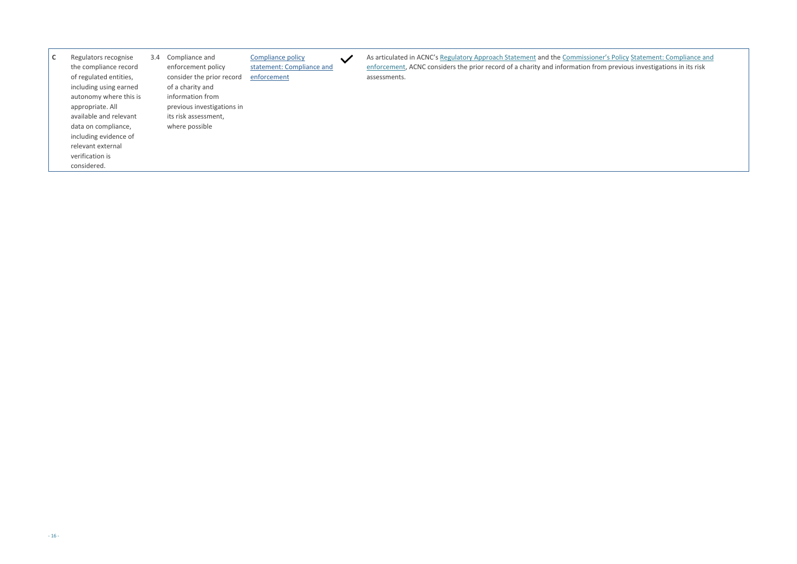**Pr's Policy St[a](https://www.acnc.gov.au/raise-concern/regulating-charities/regulatory-approach-statement)tement: Compliance and Endy [Statement: Compliance and](https://www.acnc.gov.au/about/corporate-information/corporate-policies/compliance-and-enforcement) the Commissioner** m previous investigations in its risk

| J | Regulators recognise   | 3.4 | Compliance and             | Compliance policy         | $\checkmark$ | As articulated in ACNC's Regulatory Approach Statement and the Commissioner    |
|---|------------------------|-----|----------------------------|---------------------------|--------------|--------------------------------------------------------------------------------|
|   | the compliance record  |     | enforcement policy         | statement: Compliance and |              | enforcement, ACNC considers the prior record of a charity and information from |
|   | of regulated entities, |     | consider the prior record  | enforcement               |              | assessments.                                                                   |
|   | including using earned |     | of a charity and           |                           |              |                                                                                |
|   | autonomy where this is |     | information from           |                           |              |                                                                                |
|   | appropriate. All       |     | previous investigations in |                           |              |                                                                                |
|   | available and relevant |     | its risk assessment,       |                           |              |                                                                                |
|   | data on compliance,    |     | where possible             |                           |              |                                                                                |
|   | including evidence of  |     |                            |                           |              |                                                                                |
|   | relevant external      |     |                            |                           |              |                                                                                |
|   | verification is        |     |                            |                           |              |                                                                                |
|   | considered.            |     |                            |                           |              |                                                                                |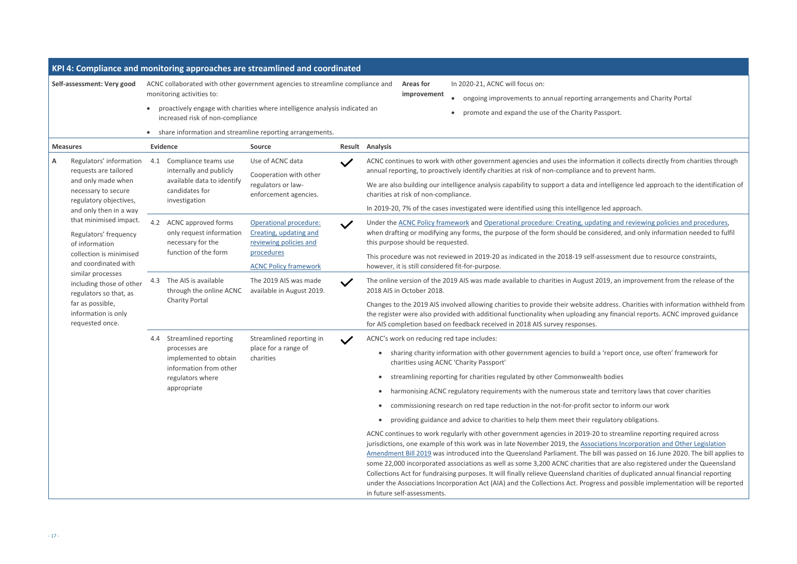rangements and Charity Portal ssport.

ation it collects directly from charities through I to prevent harm.

ntelligence led approach to the identification of

led approach.

ing and reviewing policies and procedures, idered, and only information needed to fulfil

ssessment due to resource constraints,

019, an improvement from the release of the

Idress. Charities with information withheld from ny financial reports. ACNC improved guidance

'report once, use often' framework for

nd territory laws that cover charities

tor to inform our work

ulatory obligations.

to streamline reporting required across ations Incorporation and Other Legislation was passed on 16 June 2020. The bill applies to nat are also registered under the Queensland ties of duplicated annual financial reporting s and possible implementation will be reported

|   |                                                                                                                                                                                          |           |                                                                                                                  | KPI 4: Compliance and monitoring approaches are streamlined and coordinated               |              |                        |                                                  |  |                                                                                                                                                                                                                                                                                                                                                                                                                                                                                                                                                     |
|---|------------------------------------------------------------------------------------------------------------------------------------------------------------------------------------------|-----------|------------------------------------------------------------------------------------------------------------------|-------------------------------------------------------------------------------------------|--------------|------------------------|--------------------------------------------------|--|-----------------------------------------------------------------------------------------------------------------------------------------------------------------------------------------------------------------------------------------------------------------------------------------------------------------------------------------------------------------------------------------------------------------------------------------------------------------------------------------------------------------------------------------------------|
|   | Self-assessment: Very good                                                                                                                                                               |           | monitoring activities to:                                                                                        | ACNC collaborated with other government agencies to streamline compliance and             |              |                        | <b>Areas for</b><br>improvement                  |  | In 2020-21, ACNC will focus on:<br>ongoing improvements to annual reporting arrangem                                                                                                                                                                                                                                                                                                                                                                                                                                                                |
|   |                                                                                                                                                                                          |           | increased risk of non-compliance                                                                                 | proactively engage with charities where intelligence analysis indicated an                |              |                        |                                                  |  | promote and expand the use of the Charity Passport.                                                                                                                                                                                                                                                                                                                                                                                                                                                                                                 |
|   |                                                                                                                                                                                          | $\bullet$ |                                                                                                                  | share information and streamline reporting arrangements.                                  |              |                        |                                                  |  |                                                                                                                                                                                                                                                                                                                                                                                                                                                                                                                                                     |
|   | <b>Measures</b>                                                                                                                                                                          |           | <b>Evidence</b>                                                                                                  | <b>Source</b>                                                                             |              | <b>Result Analysis</b> |                                                  |  |                                                                                                                                                                                                                                                                                                                                                                                                                                                                                                                                                     |
| Α | Regulators' information<br>requests are tailored<br>and only made when<br>necessary to secure<br>regulatory objectives,                                                                  | 4.1       | Compliance teams use<br>internally and publicly<br>available data to identify<br>candidates for<br>investigation | Use of ACNC data<br>Cooperation with other<br>regulators or law-<br>enforcement agencies. |              |                        | charities at risk of non-compliance.             |  | ACNC continues to work with other government agencies and uses the information it<br>annual reporting, to proactively identify charities at risk of non-compliance and to pre<br>We are also building our intelligence analysis capability to support a data and intellige<br>In 2019-20, 7% of the cases investigated were identified using this intelligence led app                                                                                                                                                                              |
|   | and only then in a way<br>that minimised impact.<br>Regulators' frequency<br>of information                                                                                              |           | 4.2 ACNC approved forms<br>only request information<br>necessary for the                                         | Operational procedure:<br>Creating, updating and<br>reviewing policies and                | $\checkmark$ |                        | this purpose should be requested.                |  | Under the ACNC Policy framework and Operational procedure: Creating, updating and<br>when drafting or modifying any forms, the purpose of the form should be considered,                                                                                                                                                                                                                                                                                                                                                                            |
|   | collection is minimised<br>and coordinated with<br>similar processes<br>including those of other<br>regulators so that, as<br>far as possible,<br>information is only<br>requested once. |           | function of the form                                                                                             | procedures<br><b>ACNC Policy framework</b>                                                |              |                        | however, it is still considered fit-for-purpose. |  | This procedure was not reviewed in 2019-20 as indicated in the 2018-19 self-assessme                                                                                                                                                                                                                                                                                                                                                                                                                                                                |
|   |                                                                                                                                                                                          | 4.3       | The AIS is available<br>through the online ACNC<br><b>Charity Portal</b>                                         | The 2019 AIS was made<br>available in August 2019.                                        | $\checkmark$ |                        | 2018 AIS in October 2018.                        |  | The online version of the 2019 AIS was made available to charities in August 2019, an                                                                                                                                                                                                                                                                                                                                                                                                                                                               |
|   |                                                                                                                                                                                          |           |                                                                                                                  |                                                                                           |              |                        |                                                  |  | Changes to the 2019 AIS involved allowing charities to provide their website address.<br>the register were also provided with additional functionality when uploading any finar<br>for AIS completion based on feedback received in 2018 AIS survey responses.                                                                                                                                                                                                                                                                                      |
|   |                                                                                                                                                                                          | 4.4       | Streamlined reporting                                                                                            | Streamlined reporting in                                                                  |              |                        | ACNC's work on reducing red tape includes:       |  |                                                                                                                                                                                                                                                                                                                                                                                                                                                                                                                                                     |
|   |                                                                                                                                                                                          |           | processes are<br>implemented to obtain<br>information from other                                                 | place for a range of<br>charities                                                         |              |                        | charities using ACNC 'Charity Passport'          |  | sharing charity information with other government agencies to build a 'report                                                                                                                                                                                                                                                                                                                                                                                                                                                                       |
|   |                                                                                                                                                                                          |           | regulators where                                                                                                 |                                                                                           |              | $\bullet$              |                                                  |  | streamlining reporting for charities regulated by other Commonwealth bodies                                                                                                                                                                                                                                                                                                                                                                                                                                                                         |
|   |                                                                                                                                                                                          |           | appropriate                                                                                                      |                                                                                           |              | $\bullet$              |                                                  |  | harmonising ACNC regulatory requirements with the numerous state and terr                                                                                                                                                                                                                                                                                                                                                                                                                                                                           |
|   |                                                                                                                                                                                          |           |                                                                                                                  |                                                                                           |              | $\bullet$              |                                                  |  | commissioning research on red tape reduction in the not-for-profit sector to i                                                                                                                                                                                                                                                                                                                                                                                                                                                                      |
|   |                                                                                                                                                                                          |           |                                                                                                                  |                                                                                           |              |                        |                                                  |  | providing guidance and advice to charities to help them meet their regulatory                                                                                                                                                                                                                                                                                                                                                                                                                                                                       |
|   |                                                                                                                                                                                          |           |                                                                                                                  |                                                                                           |              |                        | in future self-assessments.                      |  | ACNC continues to work regularly with other government agencies in 2019-20 to strea<br>jurisdictions, one example of this work was in late November 2019, the Associations In<br>Amendment Bill 2019 was introduced into the Queensland Parliament. The bill was pa<br>some 22,000 incorporated associations as well as some 3,200 ACNC charities that are<br>Collections Act for fundraising purposes. It will finally relieve Queensland charities of o<br>under the Associations Incorporation Act (AIA) and the Collections Act. Progress and p |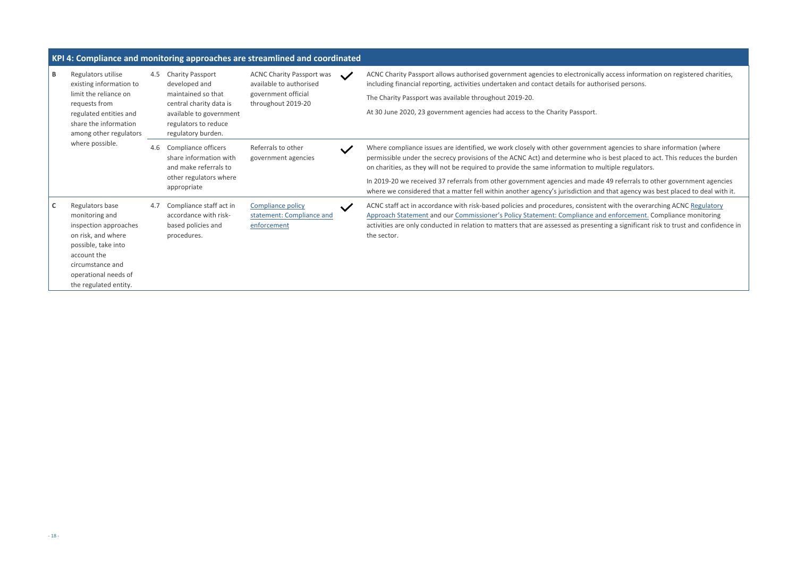y access information on registered charities, orised persons.

nt agencies to share information (where is best placed to act. This reduces the burden ultiple regulators.

. 49 referrals to other government agencies I that agency was best placed to deal with it.

nt with the overarching ACNC Regulatory Ad enforcement. Compli[a](https://www.acnc.gov.au/raise-concern/regulating-charities/regulatory-approach-statement)nce monito[r](https://www.acnc.gov.au/about/corporate-information/corporate-policies/compliance-and-enforcement)ing ting a significant risk to trust and confidence in

|              |                                                                                                                                                                                             |     |                                                                                                                                                                    | KPI 4: Compliance and monitoring approaches are streamlined and coordinated                              |              |                                                                                                                                                                                                                                                                                                                                                                                                                     |
|--------------|---------------------------------------------------------------------------------------------------------------------------------------------------------------------------------------------|-----|--------------------------------------------------------------------------------------------------------------------------------------------------------------------|----------------------------------------------------------------------------------------------------------|--------------|---------------------------------------------------------------------------------------------------------------------------------------------------------------------------------------------------------------------------------------------------------------------------------------------------------------------------------------------------------------------------------------------------------------------|
| B            | Regulators utilise<br>existing information to<br>limit the reliance on<br>requests from<br>regulated entities and<br>share the information<br>among other regulators                        | 4.5 | <b>Charity Passport</b><br>developed and<br>maintained so that<br>central charity data is<br>available to government<br>regulators to reduce<br>regulatory burden. | <b>ACNC Charity Passport was</b><br>available to authorised<br>government official<br>throughout 2019-20 | $\checkmark$ | ACNC Charity Passport allows authorised government agencies to electronically<br>including financial reporting, activities undertaken and contact details for autho<br>The Charity Passport was available throughout 2019-20.<br>At 30 June 2020, 23 government agencies had access to the Charity Passport.                                                                                                        |
|              | where possible.                                                                                                                                                                             | 4.6 | Compliance officers<br>share information with<br>and make referrals to<br>other regulators where<br>appropriate                                                    | Referrals to other<br>government agencies                                                                | $\checkmark$ | Where compliance issues are identified, we work closely with other governmen<br>permissible under the secrecy provisions of the ACNC Act) and determine who i<br>on charities, as they will not be required to provide the same information to mu<br>In 2019-20 we received 37 referrals from other government agencies and made<br>where we considered that a matter fell within another agency's jurisdiction and |
| $\mathsf{C}$ | Regulators base<br>monitoring and<br>inspection approaches<br>on risk, and where<br>possible, take into<br>account the<br>circumstance and<br>operational needs of<br>the regulated entity. | 4.7 | Compliance staff act in<br>accordance with risk-<br>based policies and<br>procedures.                                                                              | <b>Compliance policy</b><br>statement: Compliance and<br>enforcement                                     | $\checkmark$ | ACNC staff act in accordance with risk-based policies and procedures, consisten<br>Approach Statement and our Commissioner's Policy Statement: Compliance and<br>activities are only conducted in relation to matters that are assessed as present<br>the sector.                                                                                                                                                   |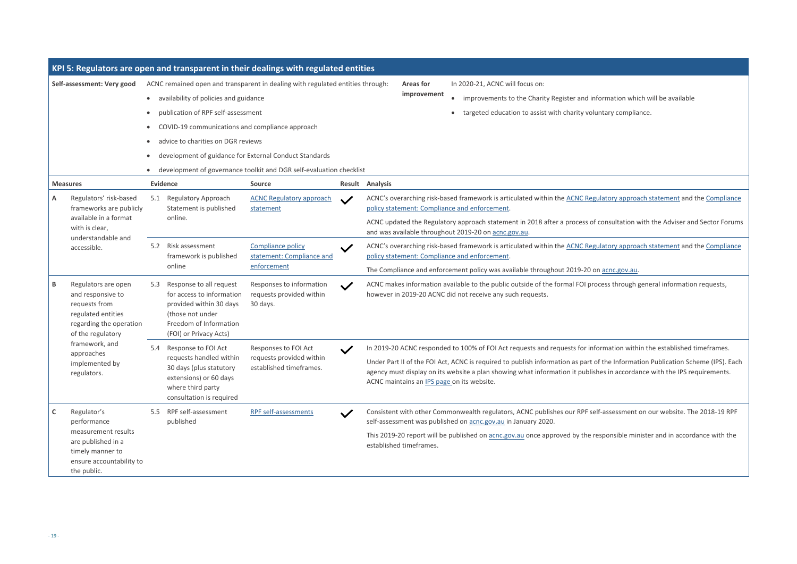rmation which will be available tary compliance.

atory approach statement and the Compliance

onsultation with the Adviser and Sector Forums

atory approach statement and the Compliance

acnc.gov.au.

ess through general information requests,

mation within the established timeframes.

the Information Publication Scheme (IPS). Each es in accordance with the IPS requirements.

assessment on our website. The 2018-19 RPF

ponsible minister and in accordance with the

|              |                                                                                                                                 |                                                               |                                                                                                                                                                      | KPI 5: Regulators are open and transparent in their dealings with regulated entities                                                                                                                            |              |                                                                                                                                                                                                                                                                        |
|--------------|---------------------------------------------------------------------------------------------------------------------------------|---------------------------------------------------------------|----------------------------------------------------------------------------------------------------------------------------------------------------------------------|-----------------------------------------------------------------------------------------------------------------------------------------------------------------------------------------------------------------|--------------|------------------------------------------------------------------------------------------------------------------------------------------------------------------------------------------------------------------------------------------------------------------------|
|              | Self-assessment: Very good                                                                                                      | $\bullet$<br>$\bullet$<br>$\bullet$<br>$\bullet$<br>$\bullet$ | availability of policies and guidance<br>publication of RPF self-assessment<br>COVID-19 communications and compliance approach<br>advice to charities on DGR reviews | ACNC remained open and transparent in dealing with regulated entities through:<br>development of guidance for External Conduct Standards<br>development of governance toolkit and DGR self-evaluation checklist |              | In 2020-21, ACNC will focus on:<br><b>Areas for</b><br>improvement<br>improvements to the Charity Register and infor<br>$\bullet$<br>targeted education to assist with charity volunt<br>$\bullet$                                                                     |
|              | <b>Measures</b>                                                                                                                 |                                                               | <b>Evidence</b>                                                                                                                                                      | <b>Source</b>                                                                                                                                                                                                   |              | Result Analysis                                                                                                                                                                                                                                                        |
| Α            | Regulators' risk-based<br>frameworks are publicly<br>available in a format<br>with is clear,<br>understandable and              | 5.1                                                           | <b>Regulatory Approach</b><br>Statement is published<br>online.                                                                                                      | <b>ACNC Regulatory approach</b><br>statement                                                                                                                                                                    |              | ACNC's overarching risk-based framework is articulated within the ACNC Regula<br>policy statement: Compliance and enforcement.<br>ACNC updated the Regulatory approach statement in 2018 after a process of co<br>and was available throughout 2019-20 on acnc.gov.au. |
|              | accessible.                                                                                                                     | 5.2                                                           | Risk assessment<br>framework is published<br>online                                                                                                                  | <b>Compliance policy</b><br>statement: Compliance and<br>enforcement                                                                                                                                            |              | ACNC's overarching risk-based framework is articulated within the ACNC Regula<br>policy statement: Compliance and enforcement.<br>The Compliance and enforcement policy was available throughout 2019-20 on a                                                          |
| B            | Regulators are open<br>and responsive to<br>requests from<br>regulated entities<br>regarding the operation<br>of the regulatory | 5.3                                                           | Response to all request<br>for access to information<br>provided within 30 days<br>(those not under<br>Freedom of Information<br>(FOI) or Privacy Acts)              | Responses to information<br>requests provided within<br>30 days.                                                                                                                                                | $\checkmark$ | ACNC makes information available to the public outside of the formal FOI proce<br>however in 2019-20 ACNC did not receive any such requests.                                                                                                                           |
|              | framework, and                                                                                                                  | 5.4                                                           | Response to FOI Act                                                                                                                                                  | Responses to FOI Act                                                                                                                                                                                            |              | In 2019-20 ACNC responded to 100% of FOI Act requests and requests for infor                                                                                                                                                                                           |
|              | approaches<br>implemented by<br>regulators.                                                                                     |                                                               | 30 days (plus statutory<br>extensions) or 60 days<br>where third party<br>consultation is required                                                                   | requests handled within requests provided within<br>established timeframes.                                                                                                                                     |              | Under Part II of the FOI Act, ACNC is required to publish information as part of t<br>agency must display on its website a plan showing what information it publishe<br>ACNC maintains an IPS page on its website.                                                     |
| $\mathsf{C}$ | Regulator's<br>performance<br>measurement results<br>are published in a                                                         |                                                               | RPF self-assessment<br>5.5<br>published                                                                                                                              | RPF self-assessments                                                                                                                                                                                            |              | Consistent with other Commonwealth regulators, ACNC publishes our RPF self-<br>self-assessment was published on acnc.gov.au in January 2020.<br>This 2019-20 report will be published on acnc.gov.au once approved by the resp<br>established timeframes.              |
|              | timely manner to<br>ensure accountability to<br>the public.                                                                     |                                                               |                                                                                                                                                                      |                                                                                                                                                                                                                 |              |                                                                                                                                                                                                                                                                        |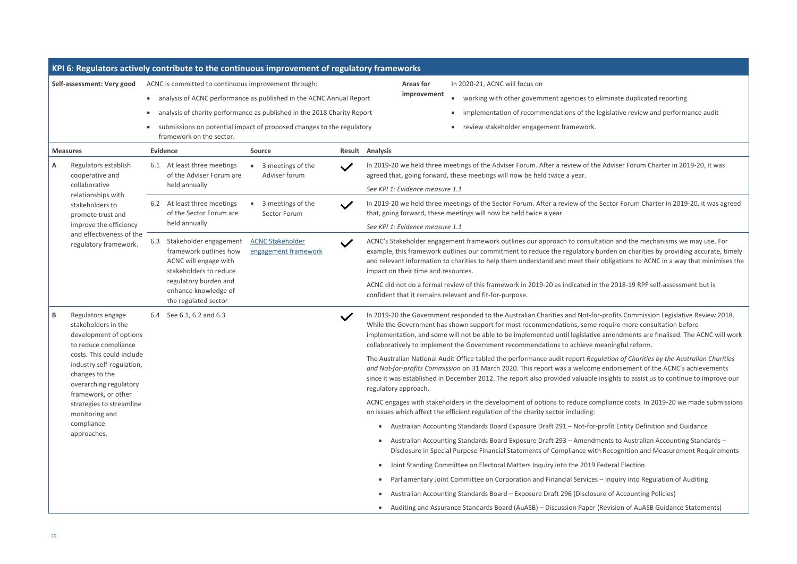iminate duplicated reporting

gislative review and performance audit

Adviser Forum Charter in 2019-20, it was

Sector Forum Charter in 2019-20, it was agreed

tion and the mechanisms we may use. For anden on charities by providing accurate, timely obligations to ACNC in a way that minimises the

he 2018-19 RPF self-assessment but is

profits Commission Legislative Review 2018. equire more consultation before amendments are finalised. The ACNC will work eaningful reform.

Iation of Charities by the Australian Charities *and or sement of the ACNC's achievements* nsights to assist us to continue to improve our

pliance costs. In 2019-20 we made submissions

rofit Entity Definition and Guidance

ents to Australian Accounting Standards – Recognition and Measurement Requirements

ederal Election

Inquiry into Regulation of Auditing

re of Accounting Policies)

Puration of AuASB Guidance Statements)

|                                                                                                                           | KPI 6: Regulators actively contribute to the continuous improvement of regulatory frameworks               |                                                                 |                                                                                                                                                                                                                                                                                    |                                                                                                                                                                                                                                                                                                                        |  |
|---------------------------------------------------------------------------------------------------------------------------|------------------------------------------------------------------------------------------------------------|-----------------------------------------------------------------|------------------------------------------------------------------------------------------------------------------------------------------------------------------------------------------------------------------------------------------------------------------------------------|------------------------------------------------------------------------------------------------------------------------------------------------------------------------------------------------------------------------------------------------------------------------------------------------------------------------|--|
| Self-assessment: Very good                                                                                                | ACNC is committed to continuous improvement through:                                                       |                                                                 | <b>Areas for</b><br>In 2020-21, ACNC will focus on                                                                                                                                                                                                                                 |                                                                                                                                                                                                                                                                                                                        |  |
|                                                                                                                           | analysis of ACNC performance as published in the ACNC Annual Report<br>$\bullet$                           |                                                                 |                                                                                                                                                                                                                                                                                    | improvement<br>working with other government agencies to eli<br>$\bullet$                                                                                                                                                                                                                                              |  |
|                                                                                                                           | analysis of charity performance as published in the 2018 Charity Report                                    |                                                                 |                                                                                                                                                                                                                                                                                    | implementation of recommendations of the lea<br>$\bullet$                                                                                                                                                                                                                                                              |  |
|                                                                                                                           | submissions on potential impact of proposed changes to the regulatory<br>framework on the sector.          |                                                                 |                                                                                                                                                                                                                                                                                    | review stakeholder engagement framework.                                                                                                                                                                                                                                                                               |  |
| <b>Measures</b>                                                                                                           | <b>Evidence</b>                                                                                            | <b>Source</b>                                                   |                                                                                                                                                                                                                                                                                    | <b>Result Analysis</b>                                                                                                                                                                                                                                                                                                 |  |
| Regulators establish<br>Α<br>cooperative and                                                                              | 6.1 At least three meetings<br>of the Adviser Forum are                                                    | 3 meetings of the<br>Adviser forum                              | $\checkmark$                                                                                                                                                                                                                                                                       | In 2019-20 we held three meetings of the Adviser Forum. After a review of the<br>agreed that, going forward, these meetings will now be held twice a year.                                                                                                                                                             |  |
| collaborative<br>relationships with                                                                                       | held annually                                                                                              |                                                                 |                                                                                                                                                                                                                                                                                    | See KPI 1: Evidence measure 1.1                                                                                                                                                                                                                                                                                        |  |
| stakeholders to<br>promote trust and                                                                                      | 6.2 At least three meetings<br>of the Sector Forum are                                                     | 3 meetings of the<br>Sector Forum                               | $\checkmark$                                                                                                                                                                                                                                                                       | In 2019-20 we held three meetings of the Sector Forum. After a review of the S<br>that, going forward, these meetings will now be held twice a year.                                                                                                                                                                   |  |
| improve the efficiency                                                                                                    | held annually                                                                                              |                                                                 |                                                                                                                                                                                                                                                                                    | See KPI 1: Evidence measure 1.1                                                                                                                                                                                                                                                                                        |  |
| and effectiveness of the<br>regulatory framework.                                                                         | Stakeholder engagement<br>6.3<br>framework outlines how<br>ACNC will engage with<br>stakeholders to reduce | <b>ACNC Stakeholder</b><br>$\checkmark$<br>engagement framework | ACNC's Stakeholder engagement framework outlines our approach to consultat<br>example, this framework outlines our commitment to reduce the regulatory bu<br>and relevant information to charities to help them understand and meet their o<br>impact on their time and resources. |                                                                                                                                                                                                                                                                                                                        |  |
|                                                                                                                           | regulatory burden and<br>enhance knowledge of<br>the regulated sector                                      |                                                                 |                                                                                                                                                                                                                                                                                    | ACNC did not do a formal review of this framework in 2019-20 as indicated in the<br>confident that it remains relevant and fit-for-purpose.                                                                                                                                                                            |  |
| B<br>Regulators engage<br>stakeholders in the<br>development of options<br>to reduce compliance                           | 6.4 See 6.1, 6.2 and 6.3                                                                                   |                                                                 | $\checkmark$                                                                                                                                                                                                                                                                       | In 2019-20 the Government responded to the Australian Charities and Not-for-<br>While the Government has shown support for most recommendations, some re<br>implementation, and some will not be able to be implemented until legislative<br>collaboratively to implement the Government recommendations to achieve me |  |
| costs. This could include<br>industry self-regulation,<br>changes to the<br>overarching regulatory<br>framework, or other |                                                                                                            |                                                                 | The Australian National Audit Office tabled the performance audit report Regul<br>and Not-for-profits Commission on 31 March 2020. This report was a welcome<br>since it was established in December 2012. The report also provided valuable in<br>regulatory approach.            |                                                                                                                                                                                                                                                                                                                        |  |
| strategies to streamline<br>monitoring and                                                                                |                                                                                                            |                                                                 |                                                                                                                                                                                                                                                                                    | ACNC engages with stakeholders in the development of options to reduce comp<br>on issues which affect the efficient regulation of the charity sector including:                                                                                                                                                        |  |
| compliance                                                                                                                |                                                                                                            |                                                                 |                                                                                                                                                                                                                                                                                    | Australian Accounting Standards Board Exposure Draft 291 - Not-for-pr<br>$\bullet$                                                                                                                                                                                                                                     |  |
| approaches.                                                                                                               |                                                                                                            |                                                                 |                                                                                                                                                                                                                                                                                    | Australian Accounting Standards Board Exposure Draft 293 - Amendme<br>Disclosure in Special Purpose Financial Statements of Compliance with                                                                                                                                                                            |  |
|                                                                                                                           |                                                                                                            |                                                                 |                                                                                                                                                                                                                                                                                    | Joint Standing Committee on Electoral Matters Inquiry into the 2019 Fe<br>$\bullet$                                                                                                                                                                                                                                    |  |
|                                                                                                                           |                                                                                                            |                                                                 |                                                                                                                                                                                                                                                                                    | Parliamentary Joint Committee on Corporation and Financial Services -                                                                                                                                                                                                                                                  |  |
|                                                                                                                           |                                                                                                            |                                                                 |                                                                                                                                                                                                                                                                                    | Australian Accounting Standards Board - Exposure Draft 296 (Disclosur<br>$\bullet$                                                                                                                                                                                                                                     |  |
|                                                                                                                           |                                                                                                            |                                                                 |                                                                                                                                                                                                                                                                                    | • Auditing and Assurance Standards Board (AuASB) - Discussion Paper (R                                                                                                                                                                                                                                                 |  |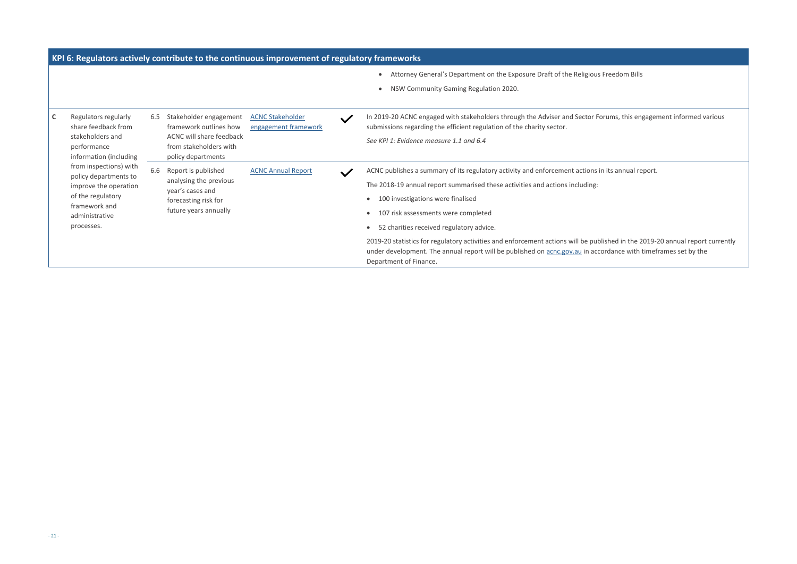Freedom Bills

In 2019-2019-20 are statehors states the Sector Sector Sector Sector Sector Sector Sector Sector Sector Sector

hits annual report.

lished in the 2019-20 annual report currently ordance with timeframes set by the

| KPI 6: Regulators actively contribute to the continuous improvement of regulatory frameworks                                                   |     |                                                                                                                              |                                                 |              |                                                                                                                                                                                                                                                                                                                                                                                                                                                                                         |
|------------------------------------------------------------------------------------------------------------------------------------------------|-----|------------------------------------------------------------------------------------------------------------------------------|-------------------------------------------------|--------------|-----------------------------------------------------------------------------------------------------------------------------------------------------------------------------------------------------------------------------------------------------------------------------------------------------------------------------------------------------------------------------------------------------------------------------------------------------------------------------------------|
|                                                                                                                                                |     |                                                                                                                              |                                                 |              | Attorney General's Department on the Exposure Draft of the Religious F<br>NSW Community Gaming Regulation 2020.                                                                                                                                                                                                                                                                                                                                                                         |
| Regulators regularly<br>C<br>share feedback from<br>stakeholders and<br>performance<br>information (including                                  | 6.5 | Stakeholder engagement<br>framework outlines how<br>ACNC will share feedback<br>from stakeholders with<br>policy departments | <b>ACNC Stakeholder</b><br>engagement framework | $\checkmark$ | In 2019-20 ACNC engaged with stakeholders through the Adviser and Sector For<br>submissions regarding the efficient regulation of the charity sector.<br>See KPI 1: Evidence measure 1.1 and 6.4                                                                                                                                                                                                                                                                                        |
| from inspections) with<br>policy departments to<br>improve the operation<br>of the regulatory<br>framework and<br>administrative<br>processes. | 6.6 | Report is published<br>analysing the previous<br>year's cases and<br>forecasting risk for<br>future years annually           | <b>ACNC Annual Report</b>                       | $\checkmark$ | ACNC publishes a summary of its regulatory activity and enforcement actions in<br>The 2018-19 annual report summarised these activities and actions including:<br>100 investigations were finalised<br>107 risk assessments were completed<br>52 charities received regulatory advice.<br>2019-20 statistics for regulatory activities and enforcement actions will be publi<br>under development. The annual report will be published on acnc.gov.au in acco<br>Department of Finance. |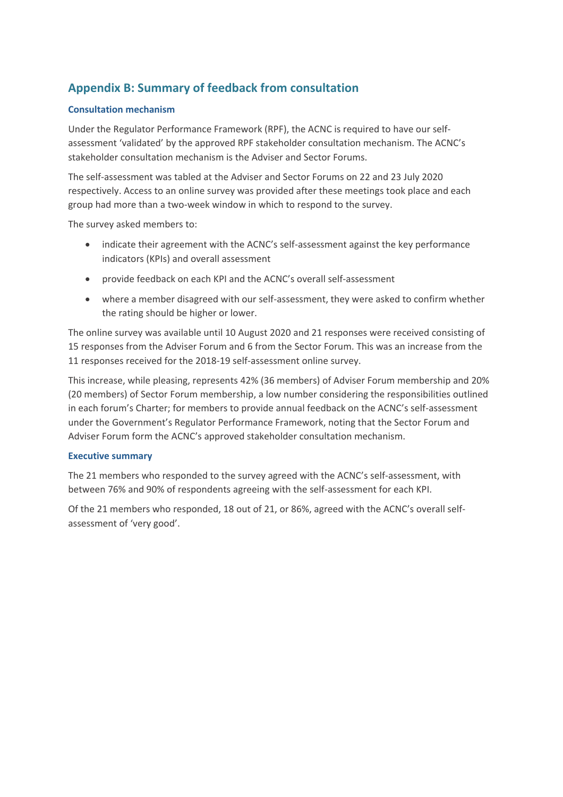# <span id="page-21-0"></span>**Appendix B: Summary of feedback from consultation**

#### **Consultation mechanism**

Under the Regulator Performance Framework (RPF), the ACNC is required to have our selfassessment 'validated' by the approved RPF stakeholder consultation mechanism. The ACNC's stakeholder consultation mechanism is the Adviser and Sector Forums.

The self-assessment was tabled at the Adviser and Sector Forums on 22 and 23 July 2020 respectively. Access to an online survey was provided after these meetings took place and each group had more than a two-week window in which to respond to the survey.

The survey asked members to:

- indicate their agreement with the ACNC's self-assessment against the key performance indicators (KPIs) and overall assessment
- provide feedback on each KPI and the ACNC's overall self-assessment
- where a member disagreed with our self-assessment, they were asked to confirm whether the rating should be higher or lower.

The online survey was available until 10 August 2020 and 21 responses were received consisting of 15 responses from the Adviser Forum and 6 from the Sector Forum. This was an increase from the 11 responses received for the 2018-19 self-assessment online survey.

This increase, while pleasing, represents 42% (36 members) of Adviser Forum membership and 20% (20 members) of Sector Forum membership, a low number considering the responsibilities outlined in each forum's Charter; for members to provide annual feedback on the ACNC's self-assessment under the Government's Regulator Performance Framework, noting that the Sector Forum and Adviser Forum form the ACNC's approved stakeholder consultation mechanism.

#### **Executive summary**

The 21 members who responded to the survey agreed with the ACNC's self-assessment, with between 76% and 90% of respondents agreeing with the self-assessment for each KPI.

Of the 21 members who responded, 18 out of 21, or 86%, agreed with the ACNC's overall selfassessment of 'very good'.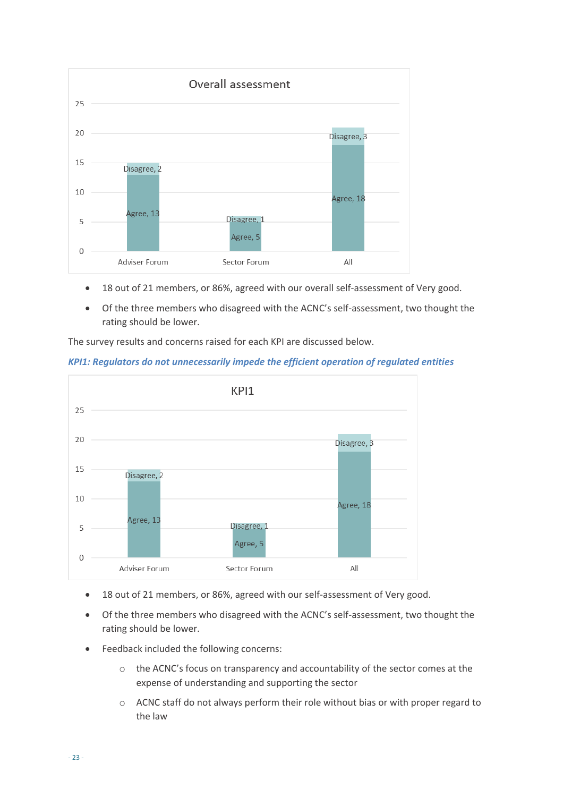

- 18 out of 21 members, or 86%, agreed with our overall self-assessment of Very good.
- Of the three members who disagreed with the ACNC's self-assessment, two thought the rating should be lower.

The survey results and concerns raised for each KPI are discussed below.





- 18 out of 21 members, or 86%, agreed with our self-assessment of Very good.
- Of the three members who disagreed with the ACNC's self-assessment, two thought the rating should be lower.
- Feedback included the following concerns:
	- $\circ$  the ACNC's focus on transparency and accountability of the sector comes at the expense of understanding and supporting the sector
	- o ACNC staff do not always perform their role without bias or with proper regard to the law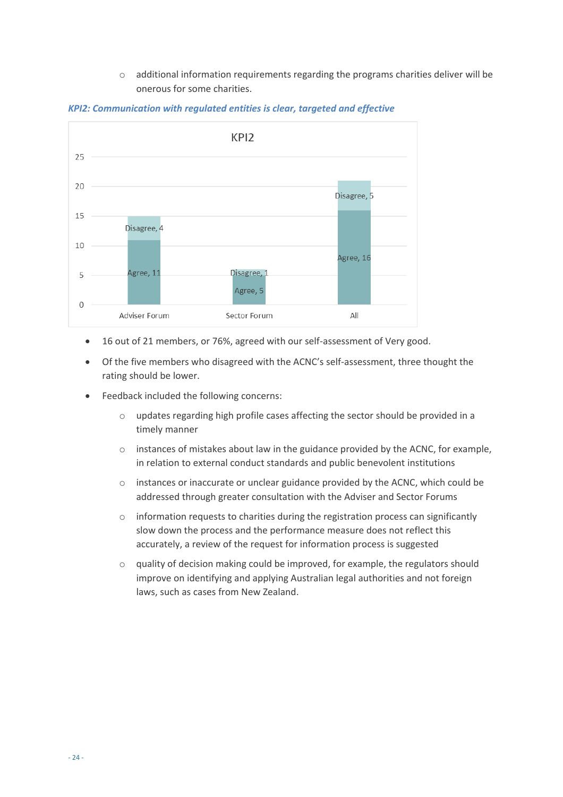o additional information requirements regarding the programs charities deliver will be onerous for some charities.



*KPI2: Communication with regulated entities is clear, targeted and effective* 

- 16 out of 21 members, or 76%, agreed with our self-assessment of Very good.
- Of the five members who disagreed with the ACNC's self-assessment, three thought the rating should be lower.
- Feedback included the following concerns:
	- o updates regarding high profile cases affecting the sector should be provided in a timely manner
	- o instances of mistakes about law in the guidance provided by the ACNC, for example, in relation to external conduct standards and public benevolent institutions
	- $\circ$  instances or inaccurate or unclear guidance provided by the ACNC, which could be addressed through greater consultation with the Adviser and Sector Forums
	- o information requests to charities during the registration process can significantly slow down the process and the performance measure does not reflect this accurately, a review of the request for information process is suggested
	- o quality of decision making could be improved, for example, the regulators should improve on identifying and applying Australian legal authorities and not foreign laws, such as cases from New Zealand.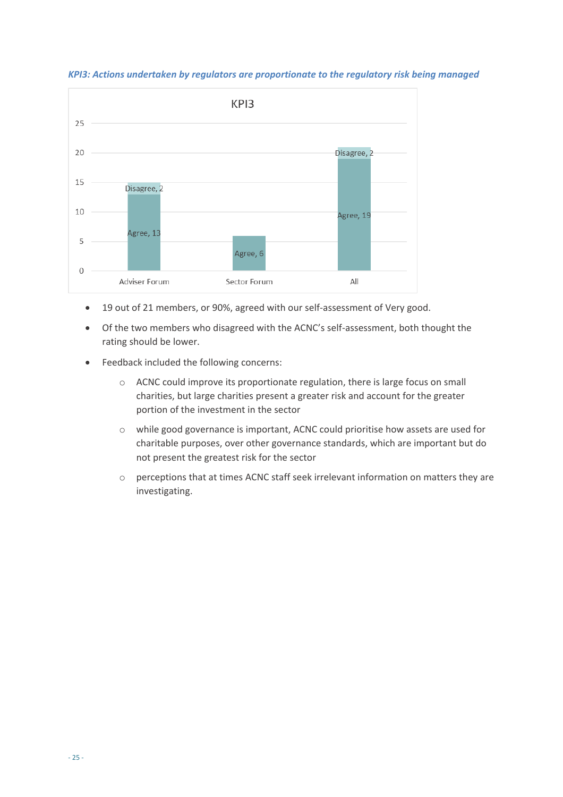

*KPI3: Actions undertaken by regulators are proportionate to the regulatory risk being managed* 

- 19 out of 21 members, or 90%, agreed with our self-assessment of Very good.
- Of the two members who disagreed with the ACNC's self-assessment, both thought the rating should be lower.
- Feedback included the following concerns:
	- o ACNC could improve its proportionate regulation, there is large focus on small charities, but large charities present a greater risk and account for the greater portion of the investment in the sector
	- o while good governance is important, ACNC could prioritise how assets are used for charitable purposes, over other governance standards, which are important but do not present the greatest risk for the sector
	- o perceptions that at times ACNC staff seek irrelevant information on matters they are investigating.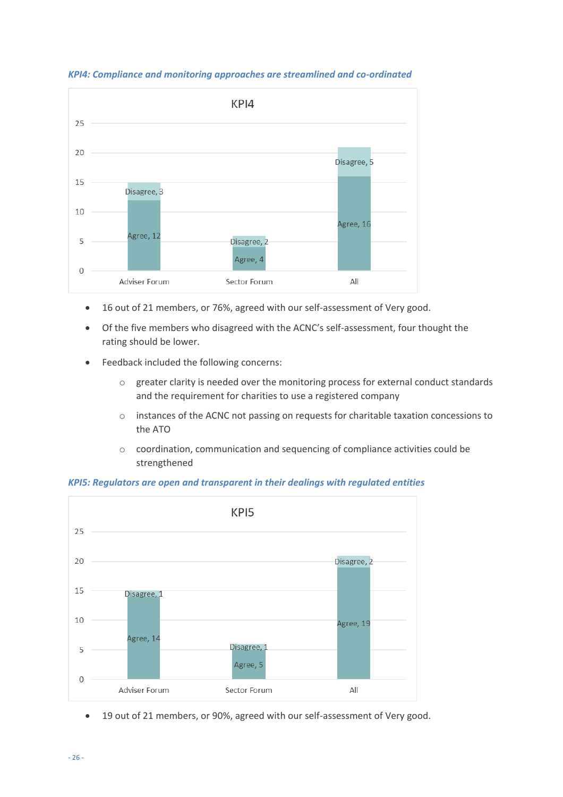

*KPI4: Compliance and monitoring approaches are streamlined and co-ordinated* 

- 16 out of 21 members, or 76%, agreed with our self-assessment of Very good.
- Of the five members who disagreed with the ACNC's self-assessment, four thought the rating should be lower.
- Feedback included the following concerns:
	- o greater clarity is needed over the monitoring process for external conduct standards and the requirement for charities to use a registered company
	- o instances of the ACNC not passing on requests for charitable taxation concessions to the ATO
	- o coordination, communication and sequencing of compliance activities could be strengthened

#### *KPI5: Regulators are open and transparent in their dealings with regulated entities*



• 19 out of 21 members, or 90%, agreed with our self-assessment of Very good.